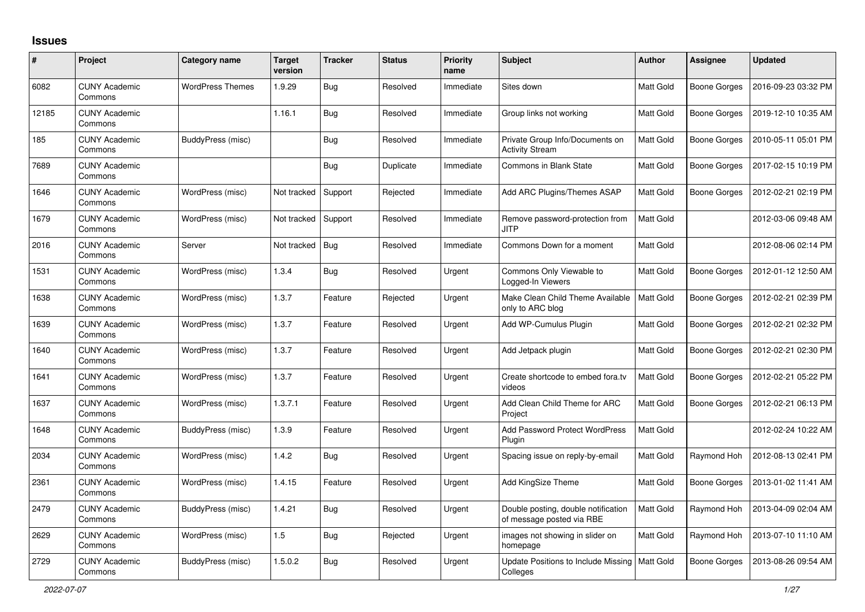## **Issues**

| #     | Project                         | <b>Category name</b>    | <b>Target</b><br>version | <b>Tracker</b> | <b>Status</b> | <b>Priority</b><br>name | <b>Subject</b>                                                   | <b>Author</b>    | <b>Assignee</b>     | <b>Updated</b>      |
|-------|---------------------------------|-------------------------|--------------------------|----------------|---------------|-------------------------|------------------------------------------------------------------|------------------|---------------------|---------------------|
| 6082  | <b>CUNY Academic</b><br>Commons | <b>WordPress Themes</b> | 1.9.29                   | <b>Bug</b>     | Resolved      | Immediate               | Sites down                                                       | <b>Matt Gold</b> | Boone Gorges        | 2016-09-23 03:32 PM |
| 12185 | <b>CUNY Academic</b><br>Commons |                         | 1.16.1                   | <b>Bug</b>     | Resolved      | Immediate               | Group links not working                                          | Matt Gold        | Boone Gorges        | 2019-12-10 10:35 AM |
| 185   | <b>CUNY Academic</b><br>Commons | BuddyPress (misc)       |                          | Bug            | Resolved      | Immediate               | Private Group Info/Documents on<br><b>Activity Stream</b>        | Matt Gold        | Boone Gorges        | 2010-05-11 05:01 PM |
| 7689  | <b>CUNY Academic</b><br>Commons |                         |                          | <b>Bug</b>     | Duplicate     | Immediate               | <b>Commons in Blank State</b>                                    | Matt Gold        | Boone Gorges        | 2017-02-15 10:19 PM |
| 1646  | <b>CUNY Academic</b><br>Commons | WordPress (misc)        | Not tracked              | Support        | Rejected      | Immediate               | Add ARC Plugins/Themes ASAP                                      | Matt Gold        | <b>Boone Gorges</b> | 2012-02-21 02:19 PM |
| 1679  | <b>CUNY Academic</b><br>Commons | WordPress (misc)        | Not tracked              | Support        | Resolved      | Immediate               | Remove password-protection from<br>JITP                          | Matt Gold        |                     | 2012-03-06 09:48 AM |
| 2016  | <b>CUNY Academic</b><br>Commons | Server                  | Not tracked              | <b>Bug</b>     | Resolved      | Immediate               | Commons Down for a moment                                        | Matt Gold        |                     | 2012-08-06 02:14 PM |
| 1531  | <b>CUNY Academic</b><br>Commons | WordPress (misc)        | 1.3.4                    | <b>Bug</b>     | Resolved      | Urgent                  | Commons Only Viewable to<br>Logged-In Viewers                    | <b>Matt Gold</b> | Boone Gorges        | 2012-01-12 12:50 AM |
| 1638  | <b>CUNY Academic</b><br>Commons | WordPress (misc)        | 1.3.7                    | Feature        | Rejected      | Urgent                  | Make Clean Child Theme Available<br>only to ARC blog             | <b>Matt Gold</b> | Boone Gorges        | 2012-02-21 02:39 PM |
| 1639  | <b>CUNY Academic</b><br>Commons | WordPress (misc)        | 1.3.7                    | Feature        | Resolved      | Urgent                  | Add WP-Cumulus Plugin                                            | <b>Matt Gold</b> | Boone Gorges        | 2012-02-21 02:32 PM |
| 1640  | <b>CUNY Academic</b><br>Commons | WordPress (misc)        | 1.3.7                    | Feature        | Resolved      | Urgent                  | Add Jetpack plugin                                               | Matt Gold        | Boone Gorges        | 2012-02-21 02:30 PM |
| 1641  | <b>CUNY Academic</b><br>Commons | WordPress (misc)        | 1.3.7                    | Feature        | Resolved      | Urgent                  | Create shortcode to embed fora.tv<br>videos                      | <b>Matt Gold</b> | Boone Gorges        | 2012-02-21 05:22 PM |
| 1637  | <b>CUNY Academic</b><br>Commons | WordPress (misc)        | 1.3.7.1                  | Feature        | Resolved      | Urgent                  | Add Clean Child Theme for ARC<br>Project                         | Matt Gold        | Boone Gorges        | 2012-02-21 06:13 PM |
| 1648  | <b>CUNY Academic</b><br>Commons | BuddyPress (misc)       | 1.3.9                    | Feature        | Resolved      | Urgent                  | <b>Add Password Protect WordPress</b><br>Plugin                  | Matt Gold        |                     | 2012-02-24 10:22 AM |
| 2034  | <b>CUNY Academic</b><br>Commons | WordPress (misc)        | 1.4.2                    | <b>Bug</b>     | Resolved      | Urgent                  | Spacing issue on reply-by-email                                  | Matt Gold        | Raymond Hoh         | 2012-08-13 02:41 PM |
| 2361  | <b>CUNY Academic</b><br>Commons | WordPress (misc)        | 1.4.15                   | Feature        | Resolved      | Urgent                  | Add KingSize Theme                                               | Matt Gold        | Boone Gorges        | 2013-01-02 11:41 AM |
| 2479  | <b>CUNY Academic</b><br>Commons | BuddyPress (misc)       | 1.4.21                   | <b>Bug</b>     | Resolved      | Urgent                  | Double posting, double notification<br>of message posted via RBE | Matt Gold        | Raymond Hoh         | 2013-04-09 02:04 AM |
| 2629  | <b>CUNY Academic</b><br>Commons | WordPress (misc)        | 1.5                      | Bug            | Rejected      | Urgent                  | images not showing in slider on<br>homepage                      | Matt Gold        | Raymond Hoh         | 2013-07-10 11:10 AM |
| 2729  | <b>CUNY Academic</b><br>Commons | BuddyPress (misc)       | 1.5.0.2                  | Bug            | Resolved      | Urgent                  | Update Positions to Include Missing<br>Colleges                  | <b>Matt Gold</b> | Boone Gorges        | 2013-08-26 09:54 AM |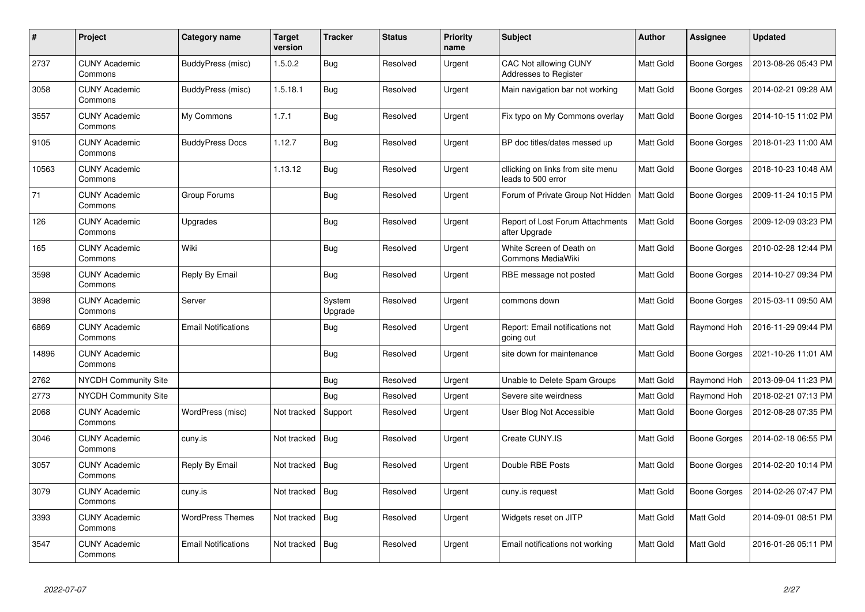| $\#$  | Project                         | Category name              | <b>Target</b><br>version | <b>Tracker</b>    | <b>Status</b> | <b>Priority</b><br>name | <b>Subject</b>                                          | <b>Author</b>    | Assignee     | <b>Updated</b>      |
|-------|---------------------------------|----------------------------|--------------------------|-------------------|---------------|-------------------------|---------------------------------------------------------|------------------|--------------|---------------------|
| 2737  | <b>CUNY Academic</b><br>Commons | BuddyPress (misc)          | 1.5.0.2                  | Bug               | Resolved      | Urgent                  | <b>CAC Not allowing CUNY</b><br>Addresses to Register   | Matt Gold        | Boone Gorges | 2013-08-26 05:43 PM |
| 3058  | <b>CUNY Academic</b><br>Commons | BuddyPress (misc)          | 1.5.18.1                 | <b>Bug</b>        | Resolved      | Urgent                  | Main navigation bar not working                         | <b>Matt Gold</b> | Boone Gorges | 2014-02-21 09:28 AM |
| 3557  | <b>CUNY Academic</b><br>Commons | My Commons                 | 1.7.1                    | <b>Bug</b>        | Resolved      | Urgent                  | Fix typo on My Commons overlay                          | Matt Gold        | Boone Gorges | 2014-10-15 11:02 PM |
| 9105  | <b>CUNY Academic</b><br>Commons | <b>BuddyPress Docs</b>     | 1.12.7                   | <b>Bug</b>        | Resolved      | Urgent                  | BP doc titles/dates messed up                           | <b>Matt Gold</b> | Boone Gorges | 2018-01-23 11:00 AM |
| 10563 | <b>CUNY Academic</b><br>Commons |                            | 1.13.12                  | <b>Bug</b>        | Resolved      | Urgent                  | cllicking on links from site menu<br>leads to 500 error | Matt Gold        | Boone Gorges | 2018-10-23 10:48 AM |
| 71    | <b>CUNY Academic</b><br>Commons | Group Forums               |                          | <b>Bug</b>        | Resolved      | Urgent                  | Forum of Private Group Not Hidden                       | <b>Matt Gold</b> | Boone Gorges | 2009-11-24 10:15 PM |
| 126   | <b>CUNY Academic</b><br>Commons | Upgrades                   |                          | <b>Bug</b>        | Resolved      | Urgent                  | Report of Lost Forum Attachments<br>after Upgrade       | <b>Matt Gold</b> | Boone Gorges | 2009-12-09 03:23 PM |
| 165   | <b>CUNY Academic</b><br>Commons | Wiki                       |                          | <b>Bug</b>        | Resolved      | Urgent                  | White Screen of Death on<br><b>Commons MediaWiki</b>    | Matt Gold        | Boone Gorges | 2010-02-28 12:44 PM |
| 3598  | <b>CUNY Academic</b><br>Commons | Reply By Email             |                          | <b>Bug</b>        | Resolved      | Urgent                  | RBE message not posted                                  | Matt Gold        | Boone Gorges | 2014-10-27 09:34 PM |
| 3898  | <b>CUNY Academic</b><br>Commons | Server                     |                          | System<br>Upgrade | Resolved      | Urgent                  | commons down                                            | Matt Gold        | Boone Gorges | 2015-03-11 09:50 AM |
| 6869  | <b>CUNY Academic</b><br>Commons | <b>Email Notifications</b> |                          | <b>Bug</b>        | Resolved      | Urgent                  | Report: Email notifications not<br>going out            | <b>Matt Gold</b> | Raymond Hoh  | 2016-11-29 09:44 PM |
| 14896 | <b>CUNY Academic</b><br>Commons |                            |                          | <b>Bug</b>        | Resolved      | Urgent                  | site down for maintenance                               | <b>Matt Gold</b> | Boone Gorges | 2021-10-26 11:01 AM |
| 2762  | <b>NYCDH Community Site</b>     |                            |                          | Bug               | Resolved      | Urgent                  | Unable to Delete Spam Groups                            | Matt Gold        | Raymond Hoh  | 2013-09-04 11:23 PM |
| 2773  | <b>NYCDH Community Site</b>     |                            |                          | <b>Bug</b>        | Resolved      | Urgent                  | Severe site weirdness                                   | Matt Gold        | Raymond Hoh  | 2018-02-21 07:13 PM |
| 2068  | <b>CUNY Academic</b><br>Commons | WordPress (misc)           | Not tracked              | Support           | Resolved      | Urgent                  | User Blog Not Accessible                                | <b>Matt Gold</b> | Boone Gorges | 2012-08-28 07:35 PM |
| 3046  | <b>CUNY Academic</b><br>Commons | cuny.is                    | Not tracked              | Bug               | Resolved      | Urgent                  | Create CUNY.IS                                          | <b>Matt Gold</b> | Boone Gorges | 2014-02-18 06:55 PM |
| 3057  | <b>CUNY Academic</b><br>Commons | Reply By Email             | Not tracked              | <b>Bug</b>        | Resolved      | Urgent                  | Double RBE Posts                                        | Matt Gold        | Boone Gorges | 2014-02-20 10:14 PM |
| 3079  | <b>CUNY Academic</b><br>Commons | cuny.is                    | Not tracked              | Bug               | Resolved      | Urgent                  | cuny.is request                                         | Matt Gold        | Boone Gorges | 2014-02-26 07:47 PM |
| 3393  | <b>CUNY Academic</b><br>Commons | <b>WordPress Themes</b>    | Not tracked   Bug        |                   | Resolved      | Urgent                  | Widgets reset on JITP                                   | Matt Gold        | Matt Gold    | 2014-09-01 08:51 PM |
| 3547  | <b>CUNY Academic</b><br>Commons | <b>Email Notifications</b> | Not tracked              | Bug               | Resolved      | Urgent                  | Email notifications not working                         | Matt Gold        | Matt Gold    | 2016-01-26 05:11 PM |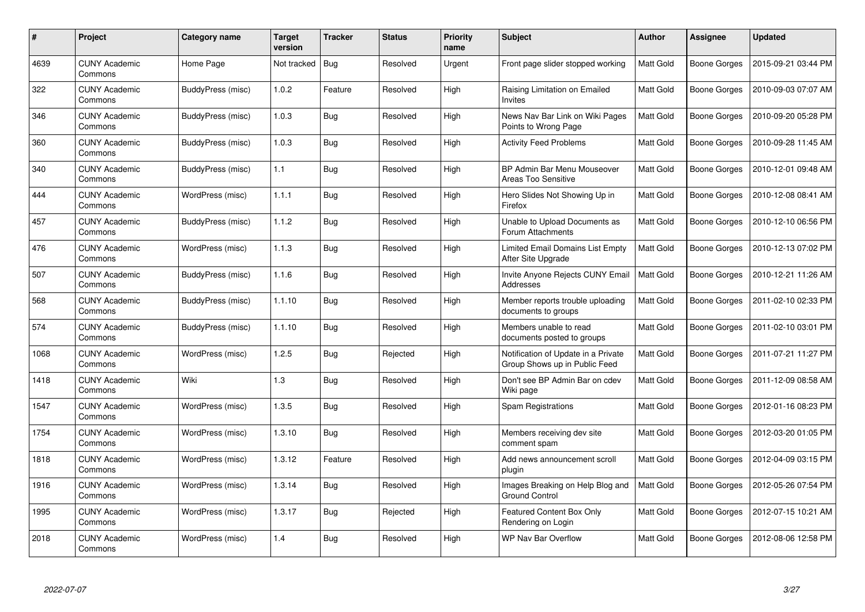| #    | Project                         | <b>Category name</b> | <b>Target</b><br>version | <b>Tracker</b> | <b>Status</b> | <b>Priority</b><br>name | <b>Subject</b>                                                       | <b>Author</b>    | <b>Assignee</b>     | <b>Updated</b>      |
|------|---------------------------------|----------------------|--------------------------|----------------|---------------|-------------------------|----------------------------------------------------------------------|------------------|---------------------|---------------------|
| 4639 | <b>CUNY Academic</b><br>Commons | Home Page            | Not tracked              | Bug            | Resolved      | Urgent                  | Front page slider stopped working                                    | <b>Matt Gold</b> | Boone Gorges        | 2015-09-21 03:44 PM |
| 322  | <b>CUNY Academic</b><br>Commons | BuddyPress (misc)    | 1.0.2                    | Feature        | Resolved      | High                    | Raising Limitation on Emailed<br>Invites                             | <b>Matt Gold</b> | Boone Gorges        | 2010-09-03 07:07 AM |
| 346  | <b>CUNY Academic</b><br>Commons | BuddyPress (misc)    | 1.0.3                    | <b>Bug</b>     | Resolved      | High                    | News Nav Bar Link on Wiki Pages<br>Points to Wrong Page              | <b>Matt Gold</b> | Boone Gorges        | 2010-09-20 05:28 PM |
| 360  | <b>CUNY Academic</b><br>Commons | BuddyPress (misc)    | 1.0.3                    | <b>Bug</b>     | Resolved      | High                    | <b>Activity Feed Problems</b>                                        | Matt Gold        | Boone Gorges        | 2010-09-28 11:45 AM |
| 340  | <b>CUNY Academic</b><br>Commons | BuddyPress (misc)    | 1.1                      | Bug            | Resolved      | High                    | BP Admin Bar Menu Mouseover<br>Areas Too Sensitive                   | <b>Matt Gold</b> | Boone Gorges        | 2010-12-01 09:48 AM |
| 444  | <b>CUNY Academic</b><br>Commons | WordPress (misc)     | 1.1.1                    | <b>Bug</b>     | Resolved      | High                    | Hero Slides Not Showing Up in<br>Firefox                             | Matt Gold        | Boone Gorges        | 2010-12-08 08:41 AM |
| 457  | <b>CUNY Academic</b><br>Commons | BuddyPress (misc)    | 1.1.2                    | <b>Bug</b>     | Resolved      | High                    | Unable to Upload Documents as<br>Forum Attachments                   | Matt Gold        | Boone Gorges        | 2010-12-10 06:56 PM |
| 476  | <b>CUNY Academic</b><br>Commons | WordPress (misc)     | 1.1.3                    | Bug            | Resolved      | High                    | Limited Email Domains List Empty<br>After Site Upgrade               | Matt Gold        | <b>Boone Gorges</b> | 2010-12-13 07:02 PM |
| 507  | <b>CUNY Academic</b><br>Commons | BuddyPress (misc)    | 1.1.6                    | Bug            | Resolved      | High                    | Invite Anyone Rejects CUNY Email<br>Addresses                        | <b>Matt Gold</b> | Boone Gorges        | 2010-12-21 11:26 AM |
| 568  | <b>CUNY Academic</b><br>Commons | BuddyPress (misc)    | 1.1.10                   | Bug            | Resolved      | High                    | Member reports trouble uploading<br>documents to groups              | <b>Matt Gold</b> | Boone Gorges        | 2011-02-10 02:33 PM |
| 574  | <b>CUNY Academic</b><br>Commons | BuddyPress (misc)    | 1.1.10                   | <b>Bug</b>     | Resolved      | High                    | Members unable to read<br>documents posted to groups                 | Matt Gold        | Boone Gorges        | 2011-02-10 03:01 PM |
| 1068 | <b>CUNY Academic</b><br>Commons | WordPress (misc)     | 1.2.5                    | Bug            | Rejected      | High                    | Notification of Update in a Private<br>Group Shows up in Public Feed | Matt Gold        | Boone Gorges        | 2011-07-21 11:27 PM |
| 1418 | <b>CUNY Academic</b><br>Commons | Wiki                 | 1.3                      | <b>Bug</b>     | Resolved      | High                    | Don't see BP Admin Bar on cdev<br>Wiki page                          | Matt Gold        | Boone Gorges        | 2011-12-09 08:58 AM |
| 1547 | <b>CUNY Academic</b><br>Commons | WordPress (misc)     | 1.3.5                    | Bug            | Resolved      | High                    | <b>Spam Registrations</b>                                            | Matt Gold        | Boone Gorges        | 2012-01-16 08:23 PM |
| 1754 | <b>CUNY Academic</b><br>Commons | WordPress (misc)     | 1.3.10                   | <b>Bug</b>     | Resolved      | High                    | Members receiving dev site<br>comment spam                           | <b>Matt Gold</b> | Boone Gorges        | 2012-03-20 01:05 PM |
| 1818 | <b>CUNY Academic</b><br>Commons | WordPress (misc)     | 1.3.12                   | Feature        | Resolved      | High                    | Add news announcement scroll<br>plugin                               | <b>Matt Gold</b> | Boone Gorges        | 2012-04-09 03:15 PM |
| 1916 | <b>CUNY Academic</b><br>Commons | WordPress (misc)     | 1.3.14                   | <b>Bug</b>     | Resolved      | High                    | Images Breaking on Help Blog and<br><b>Ground Control</b>            | Matt Gold        | Boone Gorges        | 2012-05-26 07:54 PM |
| 1995 | <b>CUNY Academic</b><br>Commons | WordPress (misc)     | 1.3.17                   | <b>Bug</b>     | Rejected      | High                    | Featured Content Box Only<br>Rendering on Login                      | Matt Gold        | Boone Gorges        | 2012-07-15 10:21 AM |
| 2018 | <b>CUNY Academic</b><br>Commons | WordPress (misc)     | 1.4                      | Bug            | Resolved      | High                    | <b>WP Nav Bar Overflow</b>                                           | <b>Matt Gold</b> | Boone Gorges        | 2012-08-06 12:58 PM |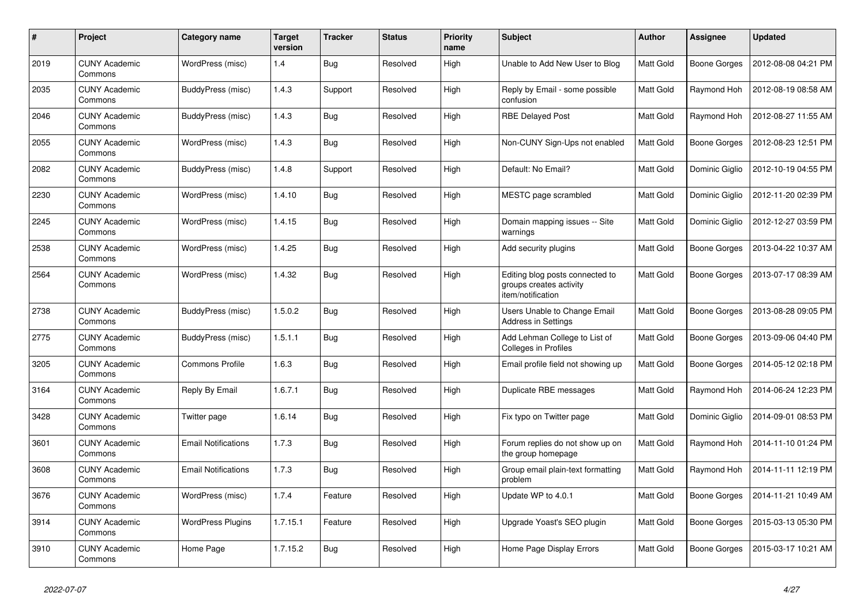| #    | Project                         | Category name              | <b>Target</b><br>version | <b>Tracker</b> | <b>Status</b> | <b>Priority</b><br>name | <b>Subject</b>                                                                  | <b>Author</b>    | <b>Assignee</b>     | <b>Updated</b>      |
|------|---------------------------------|----------------------------|--------------------------|----------------|---------------|-------------------------|---------------------------------------------------------------------------------|------------------|---------------------|---------------------|
| 2019 | <b>CUNY Academic</b><br>Commons | WordPress (misc)           | 1.4                      | <b>Bug</b>     | Resolved      | High                    | Unable to Add New User to Blog                                                  | <b>Matt Gold</b> | Boone Gorges        | 2012-08-08 04:21 PM |
| 2035 | <b>CUNY Academic</b><br>Commons | BuddyPress (misc)          | 1.4.3                    | Support        | Resolved      | High                    | Reply by Email - some possible<br>confusion                                     | Matt Gold        | Raymond Hoh         | 2012-08-19 08:58 AM |
| 2046 | <b>CUNY Academic</b><br>Commons | BuddyPress (misc)          | 1.4.3                    | Bug            | Resolved      | High                    | <b>RBE Delayed Post</b>                                                         | Matt Gold        | Raymond Hoh         | 2012-08-27 11:55 AM |
| 2055 | <b>CUNY Academic</b><br>Commons | WordPress (misc)           | 1.4.3                    | <b>Bug</b>     | Resolved      | High                    | Non-CUNY Sign-Ups not enabled                                                   | <b>Matt Gold</b> | Boone Gorges        | 2012-08-23 12:51 PM |
| 2082 | <b>CUNY Academic</b><br>Commons | BuddyPress (misc)          | 1.4.8                    | Support        | Resolved      | High                    | Default: No Email?                                                              | Matt Gold        | Dominic Giglio      | 2012-10-19 04:55 PM |
| 2230 | <b>CUNY Academic</b><br>Commons | WordPress (misc)           | 1.4.10                   | Bug            | Resolved      | High                    | MESTC page scrambled                                                            | <b>Matt Gold</b> | Dominic Giglio      | 2012-11-20 02:39 PM |
| 2245 | <b>CUNY Academic</b><br>Commons | WordPress (misc)           | 1.4.15                   | <b>Bug</b>     | Resolved      | High                    | Domain mapping issues -- Site<br>warnings                                       | <b>Matt Gold</b> | Dominic Giglio      | 2012-12-27 03:59 PM |
| 2538 | <b>CUNY Academic</b><br>Commons | WordPress (misc)           | 1.4.25                   | <b>Bug</b>     | Resolved      | High                    | Add security plugins                                                            | Matt Gold        | Boone Gorges        | 2013-04-22 10:37 AM |
| 2564 | <b>CUNY Academic</b><br>Commons | WordPress (misc)           | 1.4.32                   | Bug            | Resolved      | High                    | Editing blog posts connected to<br>groups creates activity<br>item/notification | Matt Gold        | <b>Boone Gorges</b> | 2013-07-17 08:39 AM |
| 2738 | <b>CUNY Academic</b><br>Commons | <b>BuddyPress (misc)</b>   | 1.5.0.2                  | <b>Bug</b>     | Resolved      | High                    | Users Unable to Change Email<br>Address in Settings                             | Matt Gold        | <b>Boone Gorges</b> | 2013-08-28 09:05 PM |
| 2775 | <b>CUNY Academic</b><br>Commons | BuddyPress (misc)          | 1.5.1.1                  | <b>Bug</b>     | Resolved      | High                    | Add Lehman College to List of<br><b>Colleges in Profiles</b>                    | Matt Gold        | Boone Gorges        | 2013-09-06 04:40 PM |
| 3205 | <b>CUNY Academic</b><br>Commons | <b>Commons Profile</b>     | 1.6.3                    | Bug            | Resolved      | High                    | Email profile field not showing up                                              | Matt Gold        | Boone Gorges        | 2014-05-12 02:18 PM |
| 3164 | <b>CUNY Academic</b><br>Commons | Reply By Email             | 1.6.7.1                  | <b>Bug</b>     | Resolved      | High                    | Duplicate RBE messages                                                          | Matt Gold        | Raymond Hoh         | 2014-06-24 12:23 PM |
| 3428 | <b>CUNY Academic</b><br>Commons | Twitter page               | 1.6.14                   | <b>Bug</b>     | Resolved      | High                    | Fix typo on Twitter page                                                        | <b>Matt Gold</b> | Dominic Giglio      | 2014-09-01 08:53 PM |
| 3601 | <b>CUNY Academic</b><br>Commons | <b>Email Notifications</b> | 1.7.3                    | <b>Bug</b>     | Resolved      | High                    | Forum replies do not show up on<br>the group homepage                           | Matt Gold        | Raymond Hoh         | 2014-11-10 01:24 PM |
| 3608 | <b>CUNY Academic</b><br>Commons | <b>Email Notifications</b> | 1.7.3                    | <b>Bug</b>     | Resolved      | High                    | Group email plain-text formatting<br>problem                                    | Matt Gold        | Raymond Hoh         | 2014-11-11 12:19 PM |
| 3676 | <b>CUNY Academic</b><br>Commons | WordPress (misc)           | 1.7.4                    | Feature        | Resolved      | High                    | Update WP to 4.0.1                                                              | <b>Matt Gold</b> | Boone Gorges        | 2014-11-21 10:49 AM |
| 3914 | <b>CUNY Academic</b><br>Commons | <b>WordPress Plugins</b>   | 1.7.15.1                 | Feature        | Resolved      | High                    | Upgrade Yoast's SEO plugin                                                      | <b>Matt Gold</b> | Boone Gorges        | 2015-03-13 05:30 PM |
| 3910 | <b>CUNY Academic</b><br>Commons | Home Page                  | 1.7.15.2                 | <b>Bug</b>     | Resolved      | High                    | Home Page Display Errors                                                        | Matt Gold        | Boone Gorges        | 2015-03-17 10:21 AM |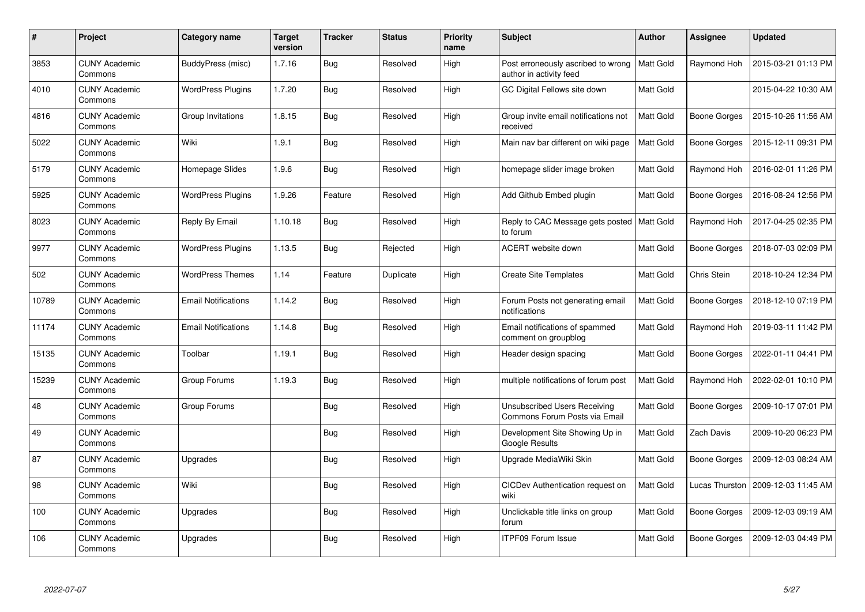| #     | Project                         | Category name              | <b>Target</b><br>version | <b>Tracker</b> | <b>Status</b> | <b>Priority</b><br>name | <b>Subject</b>                                                       | <b>Author</b>    | <b>Assignee</b>   | <b>Updated</b>      |
|-------|---------------------------------|----------------------------|--------------------------|----------------|---------------|-------------------------|----------------------------------------------------------------------|------------------|-------------------|---------------------|
| 3853  | <b>CUNY Academic</b><br>Commons | <b>BuddyPress (misc)</b>   | 1.7.16                   | Bug            | Resolved      | High                    | Post erroneously ascribed to wrong<br>author in activity feed        | Matt Gold        | Raymond Hoh       | 2015-03-21 01:13 PM |
| 4010  | <b>CUNY Academic</b><br>Commons | <b>WordPress Plugins</b>   | 1.7.20                   | Bug            | Resolved      | High                    | GC Digital Fellows site down                                         | Matt Gold        |                   | 2015-04-22 10:30 AM |
| 4816  | <b>CUNY Academic</b><br>Commons | Group Invitations          | 1.8.15                   | Bug            | Resolved      | High                    | Group invite email notifications not<br>received                     | Matt Gold        | Boone Gorges      | 2015-10-26 11:56 AM |
| 5022  | <b>CUNY Academic</b><br>Commons | Wiki                       | 1.9.1                    | Bug            | Resolved      | High                    | Main nav bar different on wiki page                                  | Matt Gold        | Boone Gorges      | 2015-12-11 09:31 PM |
| 5179  | <b>CUNY Academic</b><br>Commons | Homepage Slides            | 1.9.6                    | Bug            | Resolved      | High                    | homepage slider image broken                                         | Matt Gold        | Raymond Hoh       | 2016-02-01 11:26 PM |
| 5925  | <b>CUNY Academic</b><br>Commons | <b>WordPress Plugins</b>   | 1.9.26                   | Feature        | Resolved      | High                    | Add Github Embed plugin                                              | Matt Gold        | Boone Gorges      | 2016-08-24 12:56 PM |
| 8023  | <b>CUNY Academic</b><br>Commons | Reply By Email             | 1.10.18                  | Bug            | Resolved      | High                    | Reply to CAC Message gets posted<br>to forum                         | <b>Matt Gold</b> | Raymond Hoh       | 2017-04-25 02:35 PM |
| 9977  | <b>CUNY Academic</b><br>Commons | <b>WordPress Plugins</b>   | 1.13.5                   | Bug            | Rejected      | High                    | ACERT website down                                                   | <b>Matt Gold</b> | Boone Gorges      | 2018-07-03 02:09 PM |
| 502   | <b>CUNY Academic</b><br>Commons | <b>WordPress Themes</b>    | 1.14                     | Feature        | Duplicate     | High                    | <b>Create Site Templates</b>                                         | <b>Matt Gold</b> | Chris Stein       | 2018-10-24 12:34 PM |
| 10789 | <b>CUNY Academic</b><br>Commons | <b>Email Notifications</b> | 1.14.2                   | Bug            | Resolved      | High                    | Forum Posts not generating email<br>notifications                    | <b>Matt Gold</b> | Boone Gorges      | 2018-12-10 07:19 PM |
| 11174 | <b>CUNY Academic</b><br>Commons | <b>Email Notifications</b> | 1.14.8                   | <b>Bug</b>     | Resolved      | High                    | Email notifications of spammed<br>comment on groupblog               | Matt Gold        | Raymond Hoh       | 2019-03-11 11:42 PM |
| 15135 | <b>CUNY Academic</b><br>Commons | Toolbar                    | 1.19.1                   | Bug            | Resolved      | High                    | Header design spacing                                                | <b>Matt Gold</b> | Boone Gorges      | 2022-01-11 04:41 PM |
| 15239 | <b>CUNY Academic</b><br>Commons | Group Forums               | 1.19.3                   | Bug            | Resolved      | High                    | multiple notifications of forum post                                 | <b>Matt Gold</b> | Raymond Hoh       | 2022-02-01 10:10 PM |
| 48    | <b>CUNY Academic</b><br>Commons | Group Forums               |                          | Bug            | Resolved      | High                    | <b>Unsubscribed Users Receiving</b><br>Commons Forum Posts via Email | Matt Gold        | Boone Gorges      | 2009-10-17 07:01 PM |
| 49    | <b>CUNY Academic</b><br>Commons |                            |                          | <b>Bug</b>     | Resolved      | High                    | Development Site Showing Up in<br>Google Results                     | Matt Gold        | <b>Zach Davis</b> | 2009-10-20 06:23 PM |
| 87    | <b>CUNY Academic</b><br>Commons | Upgrades                   |                          | Bug            | Resolved      | High                    | Upgrade MediaWiki Skin                                               | <b>Matt Gold</b> | Boone Gorges      | 2009-12-03 08:24 AM |
| 98    | <b>CUNY Academic</b><br>Commons | Wiki                       |                          | Bug            | Resolved      | High                    | CICDev Authentication request on<br>wiki                             | Matt Gold        | Lucas Thurston    | 2009-12-03 11:45 AM |
| 100   | <b>CUNY Academic</b><br>Commons | Upgrades                   |                          | Bug            | Resolved      | High                    | Unclickable title links on group<br>forum                            | Matt Gold        | Boone Gorges      | 2009-12-03 09:19 AM |
| 106   | <b>CUNY Academic</b><br>Commons | Upgrades                   |                          | Bug            | Resolved      | High                    | <b>ITPF09 Forum Issue</b>                                            | <b>Matt Gold</b> | Boone Gorges      | 2009-12-03 04:49 PM |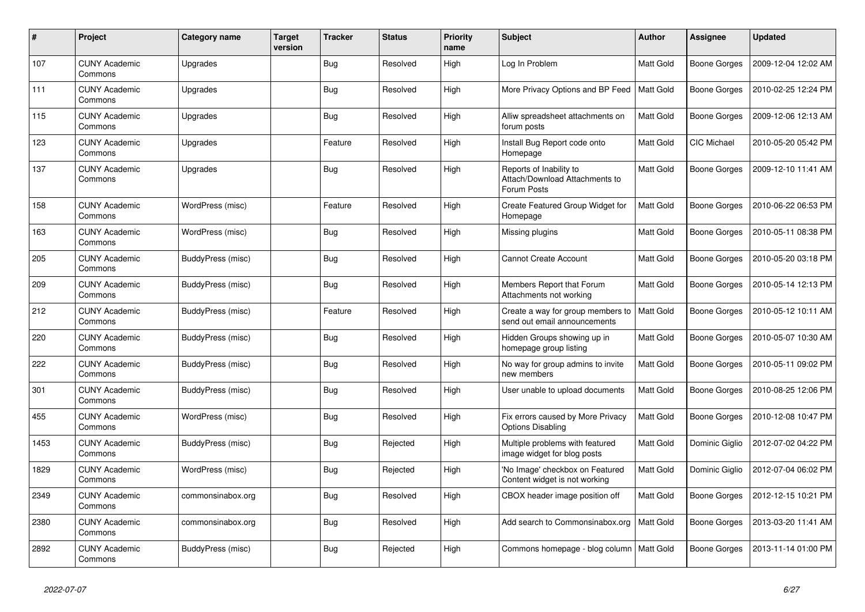| #    | Project                         | Category name     | <b>Target</b><br>version | <b>Tracker</b> | <b>Status</b> | <b>Priority</b><br>name | <b>Subject</b>                                                           | <b>Author</b>    | <b>Assignee</b>     | <b>Updated</b>      |
|------|---------------------------------|-------------------|--------------------------|----------------|---------------|-------------------------|--------------------------------------------------------------------------|------------------|---------------------|---------------------|
| 107  | <b>CUNY Academic</b><br>Commons | Upgrades          |                          | Bug            | Resolved      | High                    | Log In Problem                                                           | <b>Matt Gold</b> | <b>Boone Gorges</b> | 2009-12-04 12:02 AM |
| 111  | <b>CUNY Academic</b><br>Commons | Upgrades          |                          | Bug            | Resolved      | High                    | More Privacy Options and BP Feed                                         | <b>Matt Gold</b> | <b>Boone Gorges</b> | 2010-02-25 12:24 PM |
| 115  | <b>CUNY Academic</b><br>Commons | Upgrades          |                          | Bug            | Resolved      | High                    | Alliw spreadsheet attachments on<br>forum posts                          | Matt Gold        | Boone Gorges        | 2009-12-06 12:13 AM |
| 123  | <b>CUNY Academic</b><br>Commons | Upgrades          |                          | Feature        | Resolved      | High                    | Install Bug Report code onto<br>Homepage                                 | Matt Gold        | CIC Michael         | 2010-05-20 05:42 PM |
| 137  | <b>CUNY Academic</b><br>Commons | Upgrades          |                          | Bug            | Resolved      | High                    | Reports of Inability to<br>Attach/Download Attachments to<br>Forum Posts | Matt Gold        | Boone Gorges        | 2009-12-10 11:41 AM |
| 158  | <b>CUNY Academic</b><br>Commons | WordPress (misc)  |                          | Feature        | Resolved      | High                    | Create Featured Group Widget for<br>Homepage                             | <b>Matt Gold</b> | Boone Gorges        | 2010-06-22 06:53 PM |
| 163  | <b>CUNY Academic</b><br>Commons | WordPress (misc)  |                          | Bug            | Resolved      | High                    | Missing plugins                                                          | <b>Matt Gold</b> | Boone Gorges        | 2010-05-11 08:38 PM |
| 205  | <b>CUNY Academic</b><br>Commons | BuddyPress (misc) |                          | Bug            | Resolved      | High                    | <b>Cannot Create Account</b>                                             | <b>Matt Gold</b> | <b>Boone Gorges</b> | 2010-05-20 03:18 PM |
| 209  | <b>CUNY Academic</b><br>Commons | BuddyPress (misc) |                          | Bug            | Resolved      | High                    | Members Report that Forum<br>Attachments not working                     | <b>Matt Gold</b> | Boone Gorges        | 2010-05-14 12:13 PM |
| 212  | <b>CUNY Academic</b><br>Commons | BuddyPress (misc) |                          | Feature        | Resolved      | High                    | Create a way for group members to<br>send out email announcements        | Matt Gold        | Boone Gorges        | 2010-05-12 10:11 AM |
| 220  | <b>CUNY Academic</b><br>Commons | BuddyPress (misc) |                          | Bug            | Resolved      | High                    | Hidden Groups showing up in<br>homepage group listing                    | Matt Gold        | Boone Gorges        | 2010-05-07 10:30 AM |
| 222  | <b>CUNY Academic</b><br>Commons | BuddyPress (misc) |                          | Bug            | Resolved      | High                    | No way for group admins to invite<br>new members                         | <b>Matt Gold</b> | Boone Gorges        | 2010-05-11 09:02 PM |
| 301  | <b>CUNY Academic</b><br>Commons | BuddyPress (misc) |                          | Bug            | Resolved      | High                    | User unable to upload documents                                          | <b>Matt Gold</b> | Boone Gorges        | 2010-08-25 12:06 PM |
| 455  | <b>CUNY Academic</b><br>Commons | WordPress (misc)  |                          | Bug            | Resolved      | High                    | Fix errors caused by More Privacy<br><b>Options Disabling</b>            | Matt Gold        | Boone Gorges        | 2010-12-08 10:47 PM |
| 1453 | <b>CUNY Academic</b><br>Commons | BuddyPress (misc) |                          | Bug            | Rejected      | High                    | Multiple problems with featured<br>image widget for blog posts           | <b>Matt Gold</b> | Dominic Giglio      | 2012-07-02 04:22 PM |
| 1829 | <b>CUNY Academic</b><br>Commons | WordPress (misc)  |                          | Bug            | Rejected      | High                    | 'No Image' checkbox on Featured<br>Content widget is not working         | <b>Matt Gold</b> | Dominic Giglio      | 2012-07-04 06:02 PM |
| 2349 | <b>CUNY Academic</b><br>Commons | commonsinabox.org |                          | Bug            | Resolved      | High                    | CBOX header image position off                                           | Matt Gold        | Boone Gorges        | 2012-12-15 10:21 PM |
| 2380 | <b>CUNY Academic</b><br>Commons | commonsinabox.org |                          | <b>Bug</b>     | Resolved      | High                    | Add search to Commonsinabox.org                                          | <b>Matt Gold</b> | Boone Gorges        | 2013-03-20 11:41 AM |
| 2892 | <b>CUNY Academic</b><br>Commons | BuddyPress (misc) |                          | Bug            | Rejected      | High                    | Commons homepage - blog column   Matt Gold                               |                  | Boone Gorges        | 2013-11-14 01:00 PM |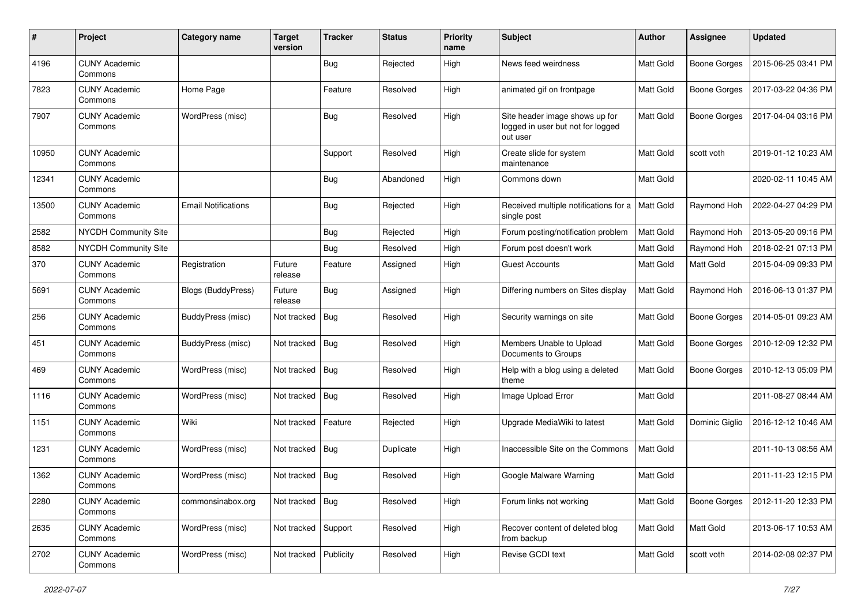| #     | Project                         | <b>Category name</b>       | <b>Target</b><br>version | <b>Tracker</b> | <b>Status</b> | <b>Priority</b><br>name | Subject                                                                         | <b>Author</b>    | Assignee            | <b>Updated</b>      |
|-------|---------------------------------|----------------------------|--------------------------|----------------|---------------|-------------------------|---------------------------------------------------------------------------------|------------------|---------------------|---------------------|
| 4196  | <b>CUNY Academic</b><br>Commons |                            |                          | Bug            | Rejected      | High                    | News feed weirdness                                                             | <b>Matt Gold</b> | <b>Boone Gorges</b> | 2015-06-25 03:41 PM |
| 7823  | <b>CUNY Academic</b><br>Commons | Home Page                  |                          | Feature        | Resolved      | High                    | animated gif on frontpage                                                       | <b>Matt Gold</b> | <b>Boone Gorges</b> | 2017-03-22 04:36 PM |
| 7907  | <b>CUNY Academic</b><br>Commons | WordPress (misc)           |                          | Bug            | Resolved      | High                    | Site header image shows up for<br>logged in user but not for logged<br>out user | Matt Gold        | <b>Boone Gorges</b> | 2017-04-04 03:16 PM |
| 10950 | <b>CUNY Academic</b><br>Commons |                            |                          | Support        | Resolved      | High                    | Create slide for system<br>maintenance                                          | Matt Gold        | scott voth          | 2019-01-12 10:23 AM |
| 12341 | <b>CUNY Academic</b><br>Commons |                            |                          | Bug            | Abandoned     | High                    | Commons down                                                                    | <b>Matt Gold</b> |                     | 2020-02-11 10:45 AM |
| 13500 | <b>CUNY Academic</b><br>Commons | <b>Email Notifications</b> |                          | Bug            | Rejected      | High                    | Received multiple notifications for a<br>single post                            | <b>Matt Gold</b> | Raymond Hoh         | 2022-04-27 04:29 PM |
| 2582  | <b>NYCDH Community Site</b>     |                            |                          | <b>Bug</b>     | Rejected      | High                    | Forum posting/notification problem                                              | Matt Gold        | Raymond Hoh         | 2013-05-20 09:16 PM |
| 8582  | NYCDH Community Site            |                            |                          | Bug            | Resolved      | High                    | Forum post doesn't work                                                         | Matt Gold        | Raymond Hoh         | 2018-02-21 07:13 PM |
| 370   | <b>CUNY Academic</b><br>Commons | Registration               | Future<br>release        | Feature        | Assigned      | High                    | Guest Accounts                                                                  | <b>Matt Gold</b> | <b>Matt Gold</b>    | 2015-04-09 09:33 PM |
| 5691  | <b>CUNY Academic</b><br>Commons | <b>Blogs (BuddyPress)</b>  | Future<br>release        | Bug            | Assigned      | High                    | Differing numbers on Sites display                                              | <b>Matt Gold</b> | Raymond Hoh         | 2016-06-13 01:37 PM |
| 256   | <b>CUNY Academic</b><br>Commons | BuddyPress (misc)          | Not tracked              | Bug            | Resolved      | High                    | Security warnings on site                                                       | Matt Gold        | <b>Boone Gorges</b> | 2014-05-01 09:23 AM |
| 451   | <b>CUNY Academic</b><br>Commons | BuddyPress (misc)          | Not tracked              | Bug            | Resolved      | High                    | Members Unable to Upload<br>Documents to Groups                                 | Matt Gold        | Boone Gorges        | 2010-12-09 12:32 PM |
| 469   | <b>CUNY Academic</b><br>Commons | WordPress (misc)           | Not tracked              | Bug            | Resolved      | High                    | Help with a blog using a deleted<br>theme                                       | Matt Gold        | <b>Boone Gorges</b> | 2010-12-13 05:09 PM |
| 1116  | <b>CUNY Academic</b><br>Commons | WordPress (misc)           | Not tracked              | Bug            | Resolved      | High                    | Image Upload Error                                                              | <b>Matt Gold</b> |                     | 2011-08-27 08:44 AM |
| 1151  | <b>CUNY Academic</b><br>Commons | Wiki                       | Not tracked              | Feature        | Rejected      | High                    | Upgrade MediaWiki to latest                                                     | <b>Matt Gold</b> | Dominic Giglio      | 2016-12-12 10:46 AM |
| 1231  | <b>CUNY Academic</b><br>Commons | WordPress (misc)           | Not tracked              | <b>Bug</b>     | Duplicate     | High                    | Inaccessible Site on the Commons                                                | Matt Gold        |                     | 2011-10-13 08:56 AM |
| 1362  | <b>CUNY Academic</b><br>Commons | WordPress (misc)           | Not tracked              | Bug            | Resolved      | High                    | Google Malware Warning                                                          | Matt Gold        |                     | 2011-11-23 12:15 PM |
| 2280  | <b>CUNY Academic</b><br>Commons | commonsinabox.org          | Not tracked   Bug        |                | Resolved      | High                    | Forum links not working                                                         | Matt Gold        | Boone Gorges        | 2012-11-20 12:33 PM |
| 2635  | <b>CUNY Academic</b><br>Commons | WordPress (misc)           | Not tracked              | Support        | Resolved      | High                    | Recover content of deleted blog<br>from backup                                  | Matt Gold        | Matt Gold           | 2013-06-17 10:53 AM |
| 2702  | <b>CUNY Academic</b><br>Commons | WordPress (misc)           | Not tracked              | Publicity      | Resolved      | High                    | Revise GCDI text                                                                | Matt Gold        | scott voth          | 2014-02-08 02:37 PM |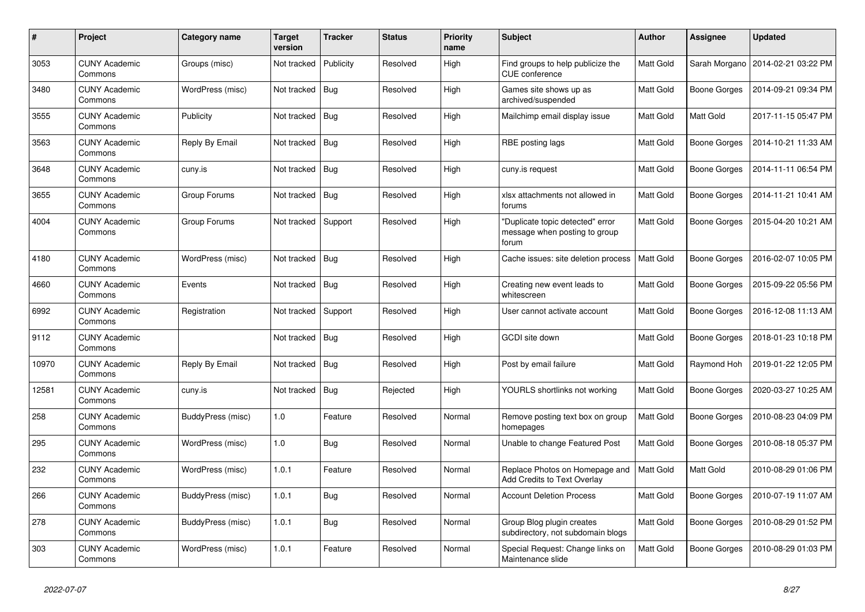| $\#$  | Project                         | Category name     | <b>Target</b><br>version | <b>Tracker</b> | <b>Status</b> | <b>Priority</b><br>name | <b>Subject</b>                                                             | <b>Author</b>    | Assignee            | <b>Updated</b>      |
|-------|---------------------------------|-------------------|--------------------------|----------------|---------------|-------------------------|----------------------------------------------------------------------------|------------------|---------------------|---------------------|
| 3053  | <b>CUNY Academic</b><br>Commons | Groups (misc)     | Not tracked              | Publicity      | Resolved      | High                    | Find groups to help publicize the<br><b>CUE</b> conference                 | <b>Matt Gold</b> | Sarah Morgano       | 2014-02-21 03:22 PM |
| 3480  | <b>CUNY Academic</b><br>Commons | WordPress (misc)  | Not tracked              | Bug            | Resolved      | High                    | Games site shows up as<br>archived/suspended                               | Matt Gold        | <b>Boone Gorges</b> | 2014-09-21 09:34 PM |
| 3555  | <b>CUNY Academic</b><br>Commons | Publicity         | Not tracked              | <b>Bug</b>     | Resolved      | High                    | Mailchimp email display issue                                              | Matt Gold        | Matt Gold           | 2017-11-15 05:47 PM |
| 3563  | <b>CUNY Academic</b><br>Commons | Reply By Email    | Not tracked              | <b>Bug</b>     | Resolved      | High                    | RBE posting lags                                                           | Matt Gold        | Boone Gorges        | 2014-10-21 11:33 AM |
| 3648  | <b>CUNY Academic</b><br>Commons | cuny.is           | Not tracked              | Bug            | Resolved      | High                    | cuny.is request                                                            | Matt Gold        | Boone Gorges        | 2014-11-11 06:54 PM |
| 3655  | <b>CUNY Academic</b><br>Commons | Group Forums      | Not tracked              | Bug            | Resolved      | High                    | xlsx attachments not allowed in<br>forums                                  | Matt Gold        | Boone Gorges        | 2014-11-21 10:41 AM |
| 4004  | <b>CUNY Academic</b><br>Commons | Group Forums      | Not tracked              | Support        | Resolved      | High                    | "Duplicate topic detected" error<br>message when posting to group<br>forum | Matt Gold        | Boone Gorges        | 2015-04-20 10:21 AM |
| 4180  | <b>CUNY Academic</b><br>Commons | WordPress (misc)  | Not tracked Bug          |                | Resolved      | High                    | Cache issues: site deletion process                                        | Matt Gold        | <b>Boone Gorges</b> | 2016-02-07 10:05 PM |
| 4660  | <b>CUNY Academic</b><br>Commons | Events            | Not tracked              | Bug            | Resolved      | High                    | Creating new event leads to<br>whitescreen                                 | Matt Gold        | Boone Gorges        | 2015-09-22 05:56 PM |
| 6992  | <b>CUNY Academic</b><br>Commons | Registration      | Not tracked              | Support        | Resolved      | High                    | User cannot activate account                                               | Matt Gold        | Boone Gorges        | 2016-12-08 11:13 AM |
| 9112  | <b>CUNY Academic</b><br>Commons |                   | Not tracked   Bug        |                | Resolved      | High                    | GCDI site down                                                             | <b>Matt Gold</b> | Boone Gorges        | 2018-01-23 10:18 PM |
| 10970 | <b>CUNY Academic</b><br>Commons | Reply By Email    | Not tracked              | <b>Bug</b>     | Resolved      | High                    | Post by email failure                                                      | Matt Gold        | Raymond Hoh         | 2019-01-22 12:05 PM |
| 12581 | <b>CUNY Academic</b><br>Commons | cuny.is           | Not tracked              | <b>Bug</b>     | Rejected      | High                    | YOURLS shortlinks not working                                              | <b>Matt Gold</b> | Boone Gorges        | 2020-03-27 10:25 AM |
| 258   | <b>CUNY Academic</b><br>Commons | BuddyPress (misc) | 1.0                      | Feature        | Resolved      | Normal                  | Remove posting text box on group<br>homepages                              | Matt Gold        | Boone Gorges        | 2010-08-23 04:09 PM |
| 295   | <b>CUNY Academic</b><br>Commons | WordPress (misc)  | 1.0                      | <b>Bug</b>     | Resolved      | Normal                  | Unable to change Featured Post                                             | <b>Matt Gold</b> | <b>Boone Gorges</b> | 2010-08-18 05:37 PM |
| 232   | <b>CUNY Academic</b><br>Commons | WordPress (misc)  | 1.0.1                    | Feature        | Resolved      | Normal                  | Replace Photos on Homepage and<br><b>Add Credits to Text Overlay</b>       | Matt Gold        | Matt Gold           | 2010-08-29 01:06 PM |
| 266   | <b>CUNY Academic</b><br>Commons | BuddyPress (misc) | 1.0.1                    | Bug            | Resolved      | Normal                  | <b>Account Deletion Process</b>                                            | Matt Gold        | Boone Gorges        | 2010-07-19 11:07 AM |
| 278   | <b>CUNY Academic</b><br>Commons | BuddyPress (misc) | 1.0.1                    | <b>Bug</b>     | Resolved      | Normal                  | Group Blog plugin creates<br>subdirectory, not subdomain blogs             | <b>Matt Gold</b> | Boone Gorges        | 2010-08-29 01:52 PM |
| 303   | <b>CUNY Academic</b><br>Commons | WordPress (misc)  | 1.0.1                    | Feature        | Resolved      | Normal                  | Special Request: Change links on<br>Maintenance slide                      | <b>Matt Gold</b> | Boone Gorges        | 2010-08-29 01:03 PM |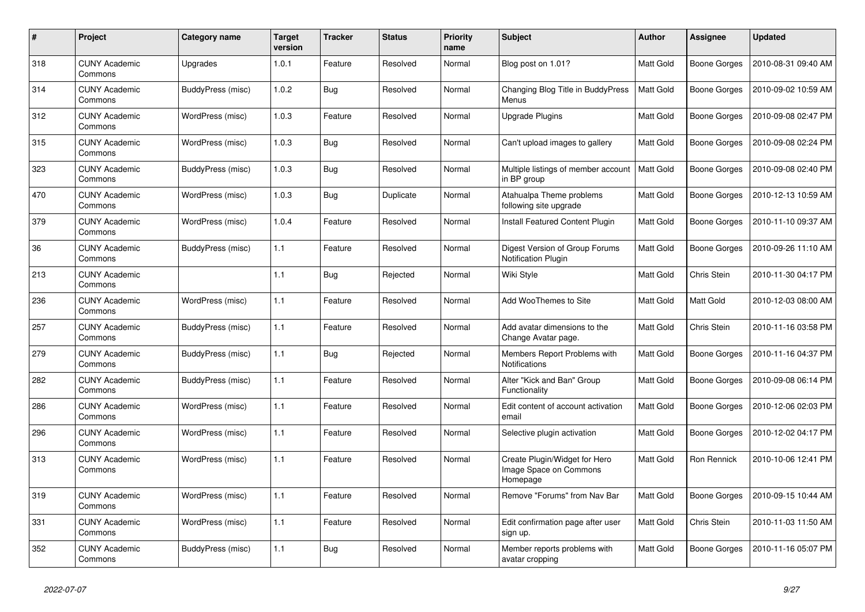| #   | Project                         | Category name     | <b>Target</b><br>version | <b>Tracker</b> | <b>Status</b> | <b>Priority</b><br>name | <b>Subject</b>                                                      | <b>Author</b>    | Assignee     | <b>Updated</b>      |
|-----|---------------------------------|-------------------|--------------------------|----------------|---------------|-------------------------|---------------------------------------------------------------------|------------------|--------------|---------------------|
| 318 | <b>CUNY Academic</b><br>Commons | Upgrades          | 1.0.1                    | Feature        | Resolved      | Normal                  | Blog post on 1.01?                                                  | <b>Matt Gold</b> | Boone Gorges | 2010-08-31 09:40 AM |
| 314 | <b>CUNY Academic</b><br>Commons | BuddyPress (misc) | 1.0.2                    | <b>Bug</b>     | Resolved      | Normal                  | Changing Blog Title in BuddyPress<br>Menus                          | <b>Matt Gold</b> | Boone Gorges | 2010-09-02 10:59 AM |
| 312 | <b>CUNY Academic</b><br>Commons | WordPress (misc)  | 1.0.3                    | Feature        | Resolved      | Normal                  | Upgrade Plugins                                                     | Matt Gold        | Boone Gorges | 2010-09-08 02:47 PM |
| 315 | <b>CUNY Academic</b><br>Commons | WordPress (misc)  | 1.0.3                    | <b>Bug</b>     | Resolved      | Normal                  | Can't upload images to gallery                                      | <b>Matt Gold</b> | Boone Gorges | 2010-09-08 02:24 PM |
| 323 | <b>CUNY Academic</b><br>Commons | BuddyPress (misc) | 1.0.3                    | <b>Bug</b>     | Resolved      | Normal                  | Multiple listings of member account<br>in BP group                  | Matt Gold        | Boone Gorges | 2010-09-08 02:40 PM |
| 470 | <b>CUNY Academic</b><br>Commons | WordPress (misc)  | 1.0.3                    | <b>Bug</b>     | Duplicate     | Normal                  | Atahualpa Theme problems<br>following site upgrade                  | Matt Gold        | Boone Gorges | 2010-12-13 10:59 AM |
| 379 | <b>CUNY Academic</b><br>Commons | WordPress (misc)  | 1.0.4                    | Feature        | Resolved      | Normal                  | Install Featured Content Plugin                                     | <b>Matt Gold</b> | Boone Gorges | 2010-11-10 09:37 AM |
| 36  | CUNY Academic<br>Commons        | BuddyPress (misc) | 1.1                      | Feature        | Resolved      | Normal                  | Digest Version of Group Forums<br><b>Notification Plugin</b>        | Matt Gold        | Boone Gorges | 2010-09-26 11:10 AM |
| 213 | <b>CUNY Academic</b><br>Commons |                   | 1.1                      | <b>Bug</b>     | Rejected      | Normal                  | Wiki Style                                                          | Matt Gold        | Chris Stein  | 2010-11-30 04:17 PM |
| 236 | <b>CUNY Academic</b><br>Commons | WordPress (misc)  | 1.1                      | Feature        | Resolved      | Normal                  | Add WooThemes to Site                                               | Matt Gold        | Matt Gold    | 2010-12-03 08:00 AM |
| 257 | <b>CUNY Academic</b><br>Commons | BuddyPress (misc) | 1.1                      | Feature        | Resolved      | Normal                  | Add avatar dimensions to the<br>Change Avatar page.                 | <b>Matt Gold</b> | Chris Stein  | 2010-11-16 03:58 PM |
| 279 | <b>CUNY Academic</b><br>Commons | BuddyPress (misc) | 1.1                      | <b>Bug</b>     | Rejected      | Normal                  | Members Report Problems with<br>Notifications                       | Matt Gold        | Boone Gorges | 2010-11-16 04:37 PM |
| 282 | <b>CUNY Academic</b><br>Commons | BuddyPress (misc) | 1.1                      | Feature        | Resolved      | Normal                  | Alter "Kick and Ban" Group<br>Functionality                         | Matt Gold        | Boone Gorges | 2010-09-08 06:14 PM |
| 286 | <b>CUNY Academic</b><br>Commons | WordPress (misc)  | 1.1                      | Feature        | Resolved      | Normal                  | Edit content of account activation<br>email                         | Matt Gold        | Boone Gorges | 2010-12-06 02:03 PM |
| 296 | <b>CUNY Academic</b><br>Commons | WordPress (misc)  | 1.1                      | Feature        | Resolved      | Normal                  | Selective plugin activation                                         | Matt Gold        | Boone Gorges | 2010-12-02 04:17 PM |
| 313 | <b>CUNY Academic</b><br>Commons | WordPress (misc)  | 1.1                      | Feature        | Resolved      | Normal                  | Create Plugin/Widget for Hero<br>Image Space on Commons<br>Homepage | Matt Gold        | Ron Rennick  | 2010-10-06 12:41 PM |
| 319 | <b>CUNY Academic</b><br>Commons | WordPress (misc)  | 1.1                      | Feature        | Resolved      | Normal                  | Remove "Forums" from Nav Bar                                        | <b>Matt Gold</b> | Boone Gorges | 2010-09-15 10:44 AM |
| 331 | <b>CUNY Academic</b><br>Commons | WordPress (misc)  | 1.1                      | Feature        | Resolved      | Normal                  | Edit confirmation page after user<br>sign up.                       | <b>Matt Gold</b> | Chris Stein  | 2010-11-03 11:50 AM |
| 352 | <b>CUNY Academic</b><br>Commons | BuddyPress (misc) | 1.1                      | <b>Bug</b>     | Resolved      | Normal                  | Member reports problems with<br>avatar cropping                     | Matt Gold        | Boone Gorges | 2010-11-16 05:07 PM |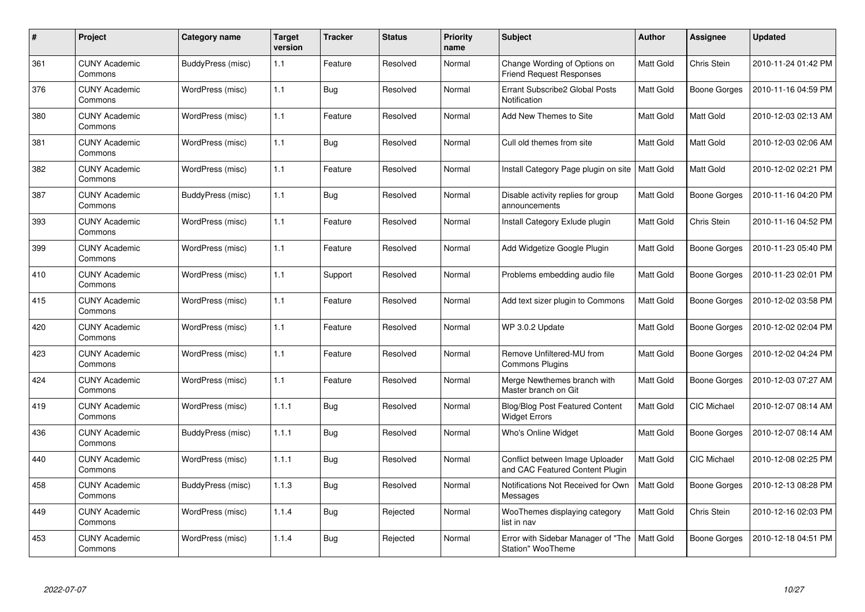| #   | Project                         | Category name     | <b>Target</b><br>version | <b>Tracker</b> | <b>Status</b> | <b>Priority</b><br>name | <b>Subject</b>                                                     | <b>Author</b>    | <b>Assignee</b>     | <b>Updated</b>      |
|-----|---------------------------------|-------------------|--------------------------|----------------|---------------|-------------------------|--------------------------------------------------------------------|------------------|---------------------|---------------------|
| 361 | <b>CUNY Academic</b><br>Commons | BuddyPress (misc) | 1.1                      | Feature        | Resolved      | Normal                  | Change Wording of Options on<br><b>Friend Request Responses</b>    | <b>Matt Gold</b> | Chris Stein         | 2010-11-24 01:42 PM |
| 376 | <b>CUNY Academic</b><br>Commons | WordPress (misc)  | 1.1                      | Bug            | Resolved      | Normal                  | Errant Subscribe2 Global Posts<br>Notification                     | <b>Matt Gold</b> | Boone Gorges        | 2010-11-16 04:59 PM |
| 380 | <b>CUNY Academic</b><br>Commons | WordPress (misc)  | 1.1                      | Feature        | Resolved      | Normal                  | Add New Themes to Site                                             | <b>Matt Gold</b> | Matt Gold           | 2010-12-03 02:13 AM |
| 381 | <b>CUNY Academic</b><br>Commons | WordPress (misc)  | 1.1                      | <b>Bug</b>     | Resolved      | Normal                  | Cull old themes from site                                          | Matt Gold        | Matt Gold           | 2010-12-03 02:06 AM |
| 382 | <b>CUNY Academic</b><br>Commons | WordPress (misc)  | 1.1                      | Feature        | Resolved      | Normal                  | Install Category Page plugin on site                               | <b>Matt Gold</b> | Matt Gold           | 2010-12-02 02:21 PM |
| 387 | <b>CUNY Academic</b><br>Commons | BuddyPress (misc) | 1.1                      | Bug            | Resolved      | Normal                  | Disable activity replies for group<br>announcements                | <b>Matt Gold</b> | Boone Gorges        | 2010-11-16 04:20 PM |
| 393 | <b>CUNY Academic</b><br>Commons | WordPress (misc)  | 1.1                      | Feature        | Resolved      | Normal                  | Install Category Exlude plugin                                     | <b>Matt Gold</b> | Chris Stein         | 2010-11-16 04:52 PM |
| 399 | <b>CUNY Academic</b><br>Commons | WordPress (misc)  | 1.1                      | Feature        | Resolved      | Normal                  | Add Widgetize Google Plugin                                        | <b>Matt Gold</b> | Boone Gorges        | 2010-11-23 05:40 PM |
| 410 | <b>CUNY Academic</b><br>Commons | WordPress (misc)  | 1.1                      | Support        | Resolved      | Normal                  | Problems embedding audio file                                      | Matt Gold        | Boone Gorges        | 2010-11-23 02:01 PM |
| 415 | <b>CUNY Academic</b><br>Commons | WordPress (misc)  | 1.1                      | Feature        | Resolved      | Normal                  | Add text sizer plugin to Commons                                   | Matt Gold        | Boone Gorges        | 2010-12-02 03:58 PM |
| 420 | <b>CUNY Academic</b><br>Commons | WordPress (misc)  | 1.1                      | Feature        | Resolved      | Normal                  | WP 3.0.2 Update                                                    | Matt Gold        | Boone Gorges        | 2010-12-02 02:04 PM |
| 423 | <b>CUNY Academic</b><br>Commons | WordPress (misc)  | 1.1                      | Feature        | Resolved      | Normal                  | Remove Unfiltered-MU from<br><b>Commons Plugins</b>                | <b>Matt Gold</b> | <b>Boone Gorges</b> | 2010-12-02 04:24 PM |
| 424 | <b>CUNY Academic</b><br>Commons | WordPress (misc)  | 1.1                      | Feature        | Resolved      | Normal                  | Merge Newthemes branch with<br>Master branch on Git                | <b>Matt Gold</b> | Boone Gorges        | 2010-12-03 07:27 AM |
| 419 | <b>CUNY Academic</b><br>Commons | WordPress (misc)  | 1.1.1                    | <b>Bug</b>     | Resolved      | Normal                  | <b>Blog/Blog Post Featured Content</b><br><b>Widget Errors</b>     | <b>Matt Gold</b> | <b>CIC Michael</b>  | 2010-12-07 08:14 AM |
| 436 | <b>CUNY Academic</b><br>Commons | BuddyPress (misc) | 1.1.1                    | Bug            | Resolved      | Normal                  | Who's Online Widget                                                | Matt Gold        | Boone Gorges        | 2010-12-07 08:14 AM |
| 440 | <b>CUNY Academic</b><br>Commons | WordPress (misc)  | 1.1.1                    | Bug            | Resolved      | Normal                  | Conflict between Image Uploader<br>and CAC Featured Content Plugin | <b>Matt Gold</b> | <b>CIC Michael</b>  | 2010-12-08 02:25 PM |
| 458 | <b>CUNY Academic</b><br>Commons | BuddyPress (misc) | 1.1.3                    | <b>Bug</b>     | Resolved      | Normal                  | Notifications Not Received for Own<br>Messages                     | Matt Gold        | Boone Gorges        | 2010-12-13 08:28 PM |
| 449 | <b>CUNY Academic</b><br>Commons | WordPress (misc)  | 1.1.4                    | <b>Bug</b>     | Rejected      | Normal                  | WooThemes displaying category<br>list in nav                       | Matt Gold        | Chris Stein         | 2010-12-16 02:03 PM |
| 453 | <b>CUNY Academic</b><br>Commons | WordPress (misc)  | 1.1.4                    | <b>Bug</b>     | Rejected      | Normal                  | Error with Sidebar Manager of "The<br>Station" WooTheme            | <b>Matt Gold</b> | Boone Gorges        | 2010-12-18 04:51 PM |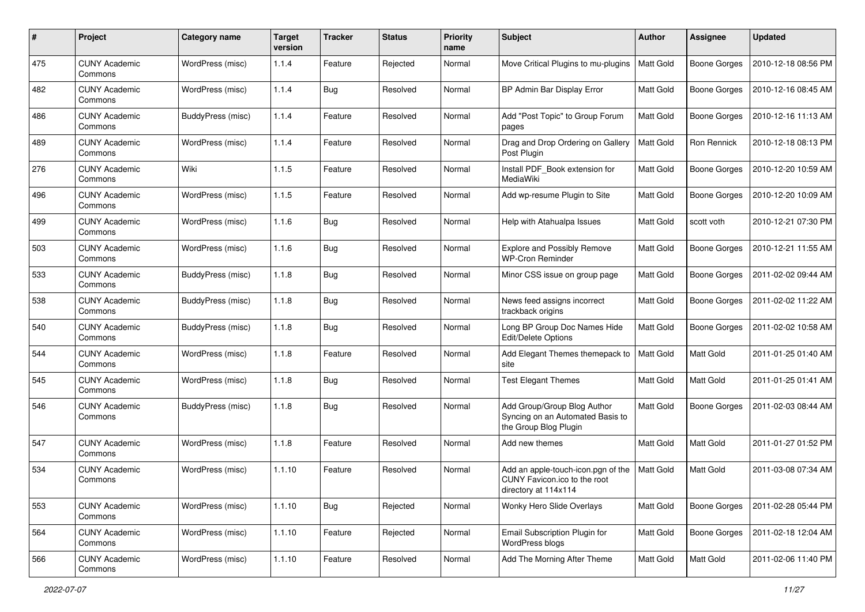| #   | Project                         | Category name     | <b>Target</b><br>version | <b>Tracker</b> | <b>Status</b> | <b>Priority</b><br>name | <b>Subject</b>                                                                             | Author           | <b>Assignee</b>     | <b>Updated</b>      |
|-----|---------------------------------|-------------------|--------------------------|----------------|---------------|-------------------------|--------------------------------------------------------------------------------------------|------------------|---------------------|---------------------|
| 475 | <b>CUNY Academic</b><br>Commons | WordPress (misc)  | 1.1.4                    | Feature        | Rejected      | Normal                  | Move Critical Plugins to mu-plugins                                                        | Matt Gold        | <b>Boone Gorges</b> | 2010-12-18 08:56 PM |
| 482 | <b>CUNY Academic</b><br>Commons | WordPress (misc)  | 1.1.4                    | Bug            | Resolved      | Normal                  | BP Admin Bar Display Error                                                                 | <b>Matt Gold</b> | <b>Boone Gorges</b> | 2010-12-16 08:45 AM |
| 486 | CUNY Academic<br>Commons        | BuddyPress (misc) | 1.1.4                    | Feature        | Resolved      | Normal                  | Add "Post Topic" to Group Forum<br>pages                                                   | <b>Matt Gold</b> | <b>Boone Gorges</b> | 2010-12-16 11:13 AM |
| 489 | <b>CUNY Academic</b><br>Commons | WordPress (misc)  | 1.1.4                    | Feature        | Resolved      | Normal                  | Drag and Drop Ordering on Gallery<br>Post Plugin                                           | Matt Gold        | Ron Rennick         | 2010-12-18 08:13 PM |
| 276 | <b>CUNY Academic</b><br>Commons | Wiki              | 1.1.5                    | Feature        | Resolved      | Normal                  | Install PDF_Book extension for<br>MediaWiki                                                | <b>Matt Gold</b> | <b>Boone Gorges</b> | 2010-12-20 10:59 AM |
| 496 | <b>CUNY Academic</b><br>Commons | WordPress (misc)  | 1.1.5                    | Feature        | Resolved      | Normal                  | Add wp-resume Plugin to Site                                                               | Matt Gold        | Boone Gorges        | 2010-12-20 10:09 AM |
| 499 | <b>CUNY Academic</b><br>Commons | WordPress (misc)  | 1.1.6                    | Bug            | Resolved      | Normal                  | Help with Atahualpa Issues                                                                 | Matt Gold        | scott voth          | 2010-12-21 07:30 PM |
| 503 | <b>CUNY Academic</b><br>Commons | WordPress (misc)  | 1.1.6                    | Bug            | Resolved      | Normal                  | <b>Explore and Possibly Remove</b><br><b>WP-Cron Reminder</b>                              | Matt Gold        | <b>Boone Gorges</b> | 2010-12-21 11:55 AM |
| 533 | <b>CUNY Academic</b><br>Commons | BuddyPress (misc) | 1.1.8                    | Bug            | Resolved      | Normal                  | Minor CSS issue on group page                                                              | <b>Matt Gold</b> | <b>Boone Gorges</b> | 2011-02-02 09:44 AM |
| 538 | CUNY Academic<br>Commons        | BuddyPress (misc) | 1.1.8                    | Bug            | Resolved      | Normal                  | News feed assigns incorrect<br>trackback origins                                           | <b>Matt Gold</b> | <b>Boone Gorges</b> | 2011-02-02 11:22 AM |
| 540 | <b>CUNY Academic</b><br>Commons | BuddyPress (misc) | 1.1.8                    | Bug            | Resolved      | Normal                  | Long BP Group Doc Names Hide<br>Edit/Delete Options                                        | <b>Matt Gold</b> | <b>Boone Gorges</b> | 2011-02-02 10:58 AM |
| 544 | <b>CUNY Academic</b><br>Commons | WordPress (misc)  | 1.1.8                    | Feature        | Resolved      | Normal                  | Add Elegant Themes themepack to<br>site                                                    | <b>Matt Gold</b> | Matt Gold           | 2011-01-25 01:40 AM |
| 545 | <b>CUNY Academic</b><br>Commons | WordPress (misc)  | 1.1.8                    | Bug            | Resolved      | Normal                  | <b>Test Elegant Themes</b>                                                                 | Matt Gold        | Matt Gold           | 2011-01-25 01:41 AM |
| 546 | <b>CUNY Academic</b><br>Commons | BuddyPress (misc) | 1.1.8                    | Bug            | Resolved      | Normal                  | Add Group/Group Blog Author<br>Syncing on an Automated Basis to<br>the Group Blog Plugin   | <b>Matt Gold</b> | Boone Gorges        | 2011-02-03 08:44 AM |
| 547 | <b>CUNY Academic</b><br>Commons | WordPress (misc)  | 1.1.8                    | Feature        | Resolved      | Normal                  | Add new themes                                                                             | Matt Gold        | <b>Matt Gold</b>    | 2011-01-27 01:52 PM |
| 534 | <b>CUNY Academic</b><br>Commons | WordPress (misc)  | 1.1.10                   | Feature        | Resolved      | Normal                  | Add an apple-touch-icon.pgn of the<br>CUNY Favicon.ico to the root<br>directory at 114x114 | Matt Gold        | <b>Matt Gold</b>    | 2011-03-08 07:34 AM |
| 553 | <b>CUNY Academic</b><br>Commons | WordPress (misc)  | 1.1.10                   | <b>Bug</b>     | Rejected      | Normal                  | Wonky Hero Slide Overlays                                                                  | Matt Gold        | Boone Gorges        | 2011-02-28 05:44 PM |
| 564 | <b>CUNY Academic</b><br>Commons | WordPress (misc)  | 1.1.10                   | Feature        | Rejected      | Normal                  | Email Subscription Plugin for<br>WordPress blogs                                           | Matt Gold        | Boone Gorges        | 2011-02-18 12:04 AM |
| 566 | <b>CUNY Academic</b><br>Commons | WordPress (misc)  | 1.1.10                   | Feature        | Resolved      | Normal                  | Add The Morning After Theme                                                                | Matt Gold        | Matt Gold           | 2011-02-06 11:40 PM |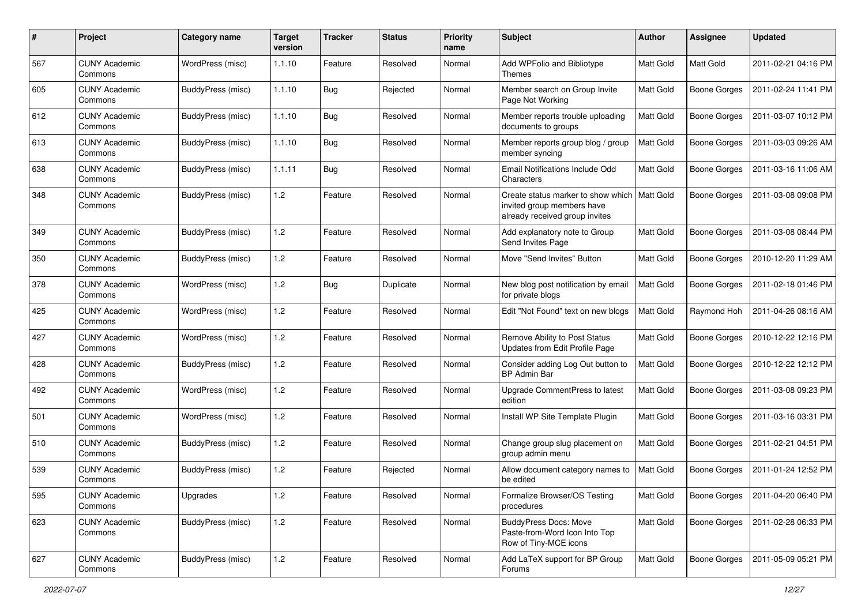| #   | Project                         | Category name     | <b>Target</b><br>version | <b>Tracker</b> | <b>Status</b> | <b>Priority</b><br>name | <b>Subject</b>                                                                                     | <b>Author</b>    | Assignee            | <b>Updated</b>      |
|-----|---------------------------------|-------------------|--------------------------|----------------|---------------|-------------------------|----------------------------------------------------------------------------------------------------|------------------|---------------------|---------------------|
| 567 | <b>CUNY Academic</b><br>Commons | WordPress (misc)  | 1.1.10                   | Feature        | Resolved      | Normal                  | Add WPFolio and Bibliotype<br>Themes                                                               | Matt Gold        | Matt Gold           | 2011-02-21 04:16 PM |
| 605 | <b>CUNY Academic</b><br>Commons | BuddyPress (misc) | 1.1.10                   | Bug            | Rejected      | Normal                  | Member search on Group Invite<br>Page Not Working                                                  | <b>Matt Gold</b> | <b>Boone Gorges</b> | 2011-02-24 11:41 PM |
| 612 | CUNY Academic<br>Commons        | BuddyPress (misc) | 1.1.10                   | Bug            | Resolved      | Normal                  | Member reports trouble uploading<br>documents to groups                                            | <b>Matt Gold</b> | <b>Boone Gorges</b> | 2011-03-07 10:12 PM |
| 613 | <b>CUNY Academic</b><br>Commons | BuddyPress (misc) | 1.1.10                   | Bug            | Resolved      | Normal                  | Member reports group blog / group<br>member syncing                                                | <b>Matt Gold</b> | <b>Boone Gorges</b> | 2011-03-03 09:26 AM |
| 638 | <b>CUNY Academic</b><br>Commons | BuddyPress (misc) | 1.1.11                   | Bug            | Resolved      | Normal                  | Email Notifications Include Odd<br>Characters                                                      | <b>Matt Gold</b> | <b>Boone Gorges</b> | 2011-03-16 11:06 AM |
| 348 | <b>CUNY Academic</b><br>Commons | BuddyPress (misc) | 1.2                      | Feature        | Resolved      | Normal                  | Create status marker to show which<br>invited group members have<br>already received group invites | <b>Matt Gold</b> | Boone Gorges        | 2011-03-08 09:08 PM |
| 349 | <b>CUNY Academic</b><br>Commons | BuddyPress (misc) | 1.2                      | Feature        | Resolved      | Normal                  | Add explanatory note to Group<br>Send Invites Page                                                 | <b>Matt Gold</b> | Boone Gorges        | 2011-03-08 08:44 PM |
| 350 | <b>CUNY Academic</b><br>Commons | BuddyPress (misc) | 1.2                      | Feature        | Resolved      | Normal                  | Move "Send Invites" Button                                                                         | <b>Matt Gold</b> | <b>Boone Gorges</b> | 2010-12-20 11:29 AM |
| 378 | <b>CUNY Academic</b><br>Commons | WordPress (misc)  | 1.2                      | Bug            | Duplicate     | Normal                  | New blog post notification by email<br>for private blogs                                           | Matt Gold        | Boone Gorges        | 2011-02-18 01:46 PM |
| 425 | <b>CUNY Academic</b><br>Commons | WordPress (misc)  | 1.2                      | Feature        | Resolved      | Normal                  | Edit "Not Found" text on new blogs                                                                 | Matt Gold        | Raymond Hoh         | 2011-04-26 08:16 AM |
| 427 | <b>CUNY Academic</b><br>Commons | WordPress (misc)  | 1.2                      | Feature        | Resolved      | Normal                  | Remove Ability to Post Status<br>Updates from Edit Profile Page                                    | Matt Gold        | <b>Boone Gorges</b> | 2010-12-22 12:16 PM |
| 428 | <b>CUNY Academic</b><br>Commons | BuddyPress (misc) | 1.2                      | Feature        | Resolved      | Normal                  | Consider adding Log Out button to<br><b>BP Admin Bar</b>                                           | Matt Gold        | Boone Gorges        | 2010-12-22 12:12 PM |
| 492 | <b>CUNY Academic</b><br>Commons | WordPress (misc)  | 1.2                      | Feature        | Resolved      | Normal                  | Upgrade CommentPress to latest<br>edition                                                          | <b>Matt Gold</b> | Boone Gorges        | 2011-03-08 09:23 PM |
| 501 | <b>CUNY Academic</b><br>Commons | WordPress (misc)  | 1.2                      | Feature        | Resolved      | Normal                  | Install WP Site Template Plugin                                                                    | Matt Gold        | Boone Gorges        | 2011-03-16 03:31 PM |
| 510 | <b>CUNY Academic</b><br>Commons | BuddyPress (misc) | 1.2                      | Feature        | Resolved      | Normal                  | Change group slug placement on<br>group admin menu                                                 | <b>Matt Gold</b> | <b>Boone Gorges</b> | 2011-02-21 04:51 PM |
| 539 | <b>CUNY Academic</b><br>Commons | BuddyPress (misc) | 1.2                      | Feature        | Rejected      | Normal                  | Allow document category names to<br>be edited                                                      | <b>Matt Gold</b> | <b>Boone Gorges</b> | 2011-01-24 12:52 PM |
| 595 | <b>CUNY Academic</b><br>Commons | Upgrades          | 1.2                      | Feature        | Resolved      | Normal                  | Formalize Browser/OS Testing<br>procedures                                                         | Matt Gold        | Boone Gorges        | 2011-04-20 06:40 PM |
| 623 | <b>CUNY Academic</b><br>Commons | BuddyPress (misc) | 1.2                      | Feature        | Resolved      | Normal                  | <b>BuddyPress Docs: Move</b><br>Paste-from-Word Icon Into Top<br>Row of Tiny-MCE icons             | Matt Gold        | Boone Gorges        | 2011-02-28 06:33 PM |
| 627 | <b>CUNY Academic</b><br>Commons | BuddyPress (misc) | 1.2                      | Feature        | Resolved      | Normal                  | Add LaTeX support for BP Group<br>Forums                                                           | Matt Gold        | Boone Gorges        | 2011-05-09 05:21 PM |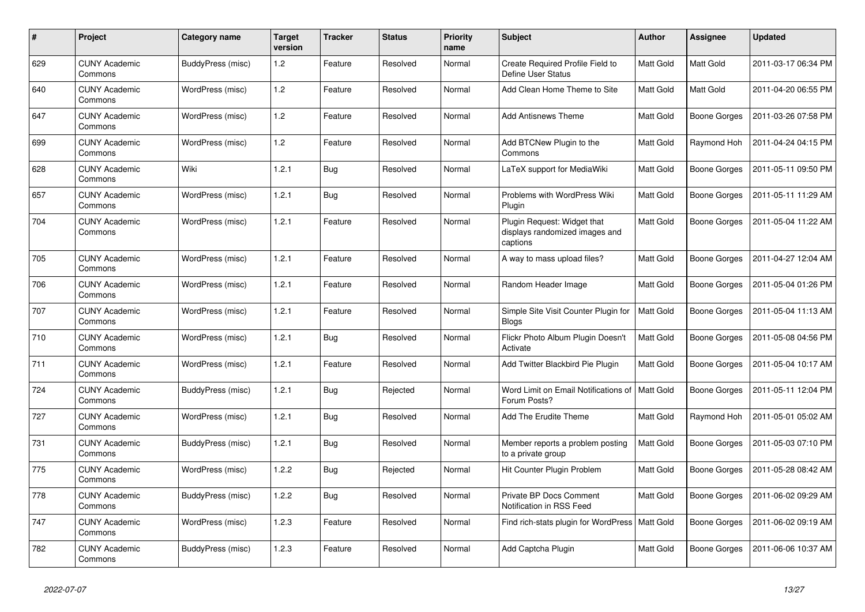| $\pmb{\#}$ | Project                         | Category name     | <b>Target</b><br>version | <b>Tracker</b> | <b>Status</b> | <b>Priority</b><br>name | <b>Subject</b>                                                            | <b>Author</b>    | Assignee            | <b>Updated</b>      |
|------------|---------------------------------|-------------------|--------------------------|----------------|---------------|-------------------------|---------------------------------------------------------------------------|------------------|---------------------|---------------------|
| 629        | <b>CUNY Academic</b><br>Commons | BuddyPress (misc) | 1.2                      | Feature        | Resolved      | Normal                  | Create Required Profile Field to<br><b>Define User Status</b>             | <b>Matt Gold</b> | <b>Matt Gold</b>    | 2011-03-17 06:34 PM |
| 640        | <b>CUNY Academic</b><br>Commons | WordPress (misc)  | 1.2                      | Feature        | Resolved      | Normal                  | Add Clean Home Theme to Site                                              | Matt Gold        | Matt Gold           | 2011-04-20 06:55 PM |
| 647        | <b>CUNY Academic</b><br>Commons | WordPress (misc)  | 1.2                      | Feature        | Resolved      | Normal                  | <b>Add Antisnews Theme</b>                                                | Matt Gold        | Boone Gorges        | 2011-03-26 07:58 PM |
| 699        | <b>CUNY Academic</b><br>Commons | WordPress (misc)  | 1.2                      | Feature        | Resolved      | Normal                  | Add BTCNew Plugin to the<br>Commons                                       | Matt Gold        | Raymond Hoh         | 2011-04-24 04:15 PM |
| 628        | <b>CUNY Academic</b><br>Commons | Wiki              | 1.2.1                    | <b>Bug</b>     | Resolved      | Normal                  | LaTeX support for MediaWiki                                               | <b>Matt Gold</b> | Boone Gorges        | 2011-05-11 09:50 PM |
| 657        | <b>CUNY Academic</b><br>Commons | WordPress (misc)  | 1.2.1                    | Bug            | Resolved      | Normal                  | Problems with WordPress Wiki<br>Plugin                                    | Matt Gold        | Boone Gorges        | 2011-05-11 11:29 AM |
| 704        | <b>CUNY Academic</b><br>Commons | WordPress (misc)  | 1.2.1                    | Feature        | Resolved      | Normal                  | Plugin Request: Widget that<br>displays randomized images and<br>captions | Matt Gold        | Boone Gorges        | 2011-05-04 11:22 AM |
| 705        | <b>CUNY Academic</b><br>Commons | WordPress (misc)  | 1.2.1                    | Feature        | Resolved      | Normal                  | A way to mass upload files?                                               | Matt Gold        | <b>Boone Gorges</b> | 2011-04-27 12:04 AM |
| 706        | <b>CUNY Academic</b><br>Commons | WordPress (misc)  | 1.2.1                    | Feature        | Resolved      | Normal                  | Random Header Image                                                       | Matt Gold        | Boone Gorges        | 2011-05-04 01:26 PM |
| 707        | <b>CUNY Academic</b><br>Commons | WordPress (misc)  | 1.2.1                    | Feature        | Resolved      | Normal                  | Simple Site Visit Counter Plugin for<br><b>Blogs</b>                      | Matt Gold        | Boone Gorges        | 2011-05-04 11:13 AM |
| 710        | <b>CUNY Academic</b><br>Commons | WordPress (misc)  | 1.2.1                    | Bug            | Resolved      | Normal                  | Flickr Photo Album Plugin Doesn't<br>Activate                             | <b>Matt Gold</b> | Boone Gorges        | 2011-05-08 04:56 PM |
| 711        | <b>CUNY Academic</b><br>Commons | WordPress (misc)  | 1.2.1                    | Feature        | Resolved      | Normal                  | Add Twitter Blackbird Pie Plugin                                          | Matt Gold        | Boone Gorges        | 2011-05-04 10:17 AM |
| 724        | <b>CUNY Academic</b><br>Commons | BuddyPress (misc) | 1.2.1                    | <b>Bug</b>     | Rejected      | Normal                  | Word Limit on Email Notifications of<br>Forum Posts?                      | <b>Matt Gold</b> | Boone Gorges        | 2011-05-11 12:04 PM |
| 727        | <b>CUNY Academic</b><br>Commons | WordPress (misc)  | 1.2.1                    | <b>Bug</b>     | Resolved      | Normal                  | <b>Add The Erudite Theme</b>                                              | Matt Gold        | Raymond Hoh         | 2011-05-01 05:02 AM |
| 731        | <b>CUNY Academic</b><br>Commons | BuddyPress (misc) | 1.2.1                    | Bug            | Resolved      | Normal                  | Member reports a problem posting<br>to a private group                    | <b>Matt Gold</b> | Boone Gorges        | 2011-05-03 07:10 PM |
| 775        | <b>CUNY Academic</b><br>Commons | WordPress (misc)  | 1.2.2                    | <b>Bug</b>     | Rejected      | Normal                  | Hit Counter Plugin Problem                                                | Matt Gold        | Boone Gorges        | 2011-05-28 08:42 AM |
| 778        | <b>CUNY Academic</b><br>Commons | BuddyPress (misc) | 1.2.2                    | <b>Bug</b>     | Resolved      | Normal                  | Private BP Docs Comment<br>Notification in RSS Feed                       | Matt Gold        | Boone Gorges        | 2011-06-02 09:29 AM |
| 747        | <b>CUNY Academic</b><br>Commons | WordPress (misc)  | 1.2.3                    | Feature        | Resolved      | Normal                  | Find rich-stats plugin for WordPress   Matt Gold                          |                  | Boone Gorges        | 2011-06-02 09:19 AM |
| 782        | <b>CUNY Academic</b><br>Commons | BuddyPress (misc) | 1.2.3                    | Feature        | Resolved      | Normal                  | Add Captcha Plugin                                                        | <b>Matt Gold</b> | Boone Gorges        | 2011-06-06 10:37 AM |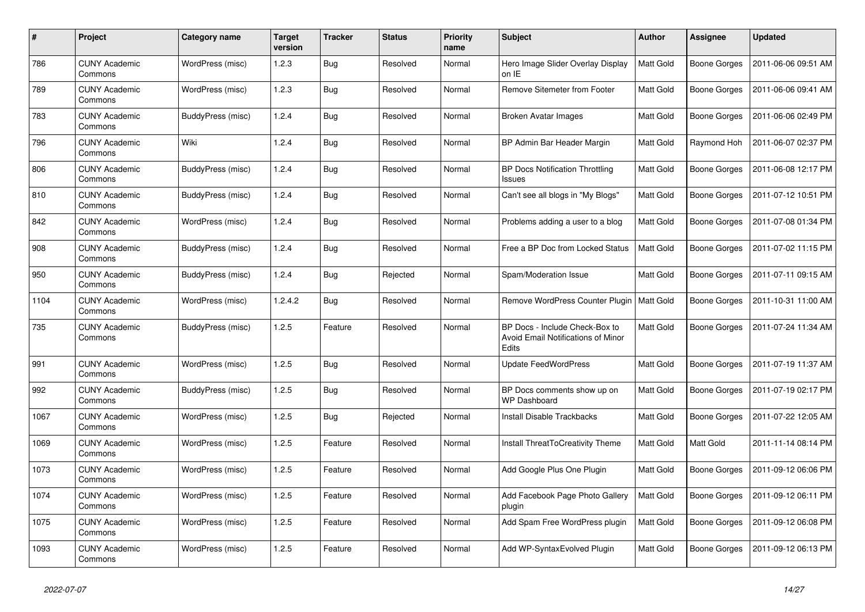| #    | Project                         | Category name     | <b>Target</b><br>version | <b>Tracker</b> | <b>Status</b> | <b>Priority</b><br>name | <b>Subject</b>                                                                | <b>Author</b>    | <b>Assignee</b>     | <b>Updated</b>      |
|------|---------------------------------|-------------------|--------------------------|----------------|---------------|-------------------------|-------------------------------------------------------------------------------|------------------|---------------------|---------------------|
| 786  | <b>CUNY Academic</b><br>Commons | WordPress (misc)  | 1.2.3                    | <b>Bug</b>     | Resolved      | Normal                  | Hero Image Slider Overlay Display<br>on IE                                    | <b>Matt Gold</b> | Boone Gorges        | 2011-06-06 09:51 AM |
| 789  | <b>CUNY Academic</b><br>Commons | WordPress (misc)  | 1.2.3                    | <b>Bug</b>     | Resolved      | Normal                  | Remove Sitemeter from Footer                                                  | Matt Gold        | Boone Gorges        | 2011-06-06 09:41 AM |
| 783  | CUNY Academic<br>Commons        | BuddyPress (misc) | 1.2.4                    | <b>Bug</b>     | Resolved      | Normal                  | Broken Avatar Images                                                          | Matt Gold        | Boone Gorges        | 2011-06-06 02:49 PM |
| 796  | <b>CUNY Academic</b><br>Commons | Wiki              | 1.2.4                    | <b>Bug</b>     | Resolved      | Normal                  | BP Admin Bar Header Margin                                                    | Matt Gold        | Raymond Hoh         | 2011-06-07 02:37 PM |
| 806  | <b>CUNY Academic</b><br>Commons | BuddyPress (misc) | 1.2.4                    | Bug            | Resolved      | Normal                  | <b>BP Docs Notification Throttling</b><br>Issues                              | Matt Gold        | Boone Gorges        | 2011-06-08 12:17 PM |
| 810  | <b>CUNY Academic</b><br>Commons | BuddyPress (misc) | 1.2.4                    | Bug            | Resolved      | Normal                  | Can't see all blogs in "My Blogs"                                             | Matt Gold        | Boone Gorges        | 2011-07-12 10:51 PM |
| 842  | <b>CUNY Academic</b><br>Commons | WordPress (misc)  | 1.2.4                    | <b>Bug</b>     | Resolved      | Normal                  | Problems adding a user to a blog                                              | Matt Gold        | Boone Gorges        | 2011-07-08 01:34 PM |
| 908  | <b>CUNY Academic</b><br>Commons | BuddyPress (misc) | 1.2.4                    | <b>Bug</b>     | Resolved      | Normal                  | Free a BP Doc from Locked Status                                              | Matt Gold        | Boone Gorges        | 2011-07-02 11:15 PM |
| 950  | <b>CUNY Academic</b><br>Commons | BuddyPress (misc) | 1.2.4                    | <b>Bug</b>     | Rejected      | Normal                  | Spam/Moderation Issue                                                         | Matt Gold        | Boone Gorges        | 2011-07-11 09:15 AM |
| 1104 | <b>CUNY Academic</b><br>Commons | WordPress (misc)  | 1.2.4.2                  | <b>Bug</b>     | Resolved      | Normal                  | Remove WordPress Counter Plugin                                               | <b>Matt Gold</b> | <b>Boone Gorges</b> | 2011-10-31 11:00 AM |
| 735  | <b>CUNY Academic</b><br>Commons | BuddyPress (misc) | 1.2.5                    | Feature        | Resolved      | Normal                  | BP Docs - Include Check-Box to<br>Avoid Email Notifications of Minor<br>Edits | <b>Matt Gold</b> | Boone Gorges        | 2011-07-24 11:34 AM |
| 991  | <b>CUNY Academic</b><br>Commons | WordPress (misc)  | 1.2.5                    | <b>Bug</b>     | Resolved      | Normal                  | <b>Update FeedWordPress</b>                                                   | Matt Gold        | Boone Gorges        | 2011-07-19 11:37 AM |
| 992  | <b>CUNY Academic</b><br>Commons | BuddyPress (misc) | 1.2.5                    | <b>Bug</b>     | Resolved      | Normal                  | BP Docs comments show up on<br><b>WP Dashboard</b>                            | Matt Gold        | Boone Gorges        | 2011-07-19 02:17 PM |
| 1067 | <b>CUNY Academic</b><br>Commons | WordPress (misc)  | 1.2.5                    | Bug            | Rejected      | Normal                  | <b>Install Disable Trackbacks</b>                                             | <b>Matt Gold</b> | Boone Gorges        | 2011-07-22 12:05 AM |
| 1069 | <b>CUNY Academic</b><br>Commons | WordPress (misc)  | 1.2.5                    | Feature        | Resolved      | Normal                  | Install ThreatToCreativity Theme                                              | Matt Gold        | Matt Gold           | 2011-11-14 08:14 PM |
| 1073 | <b>CUNY Academic</b><br>Commons | WordPress (misc)  | 1.2.5                    | Feature        | Resolved      | Normal                  | Add Google Plus One Plugin                                                    | Matt Gold        | Boone Gorges        | 2011-09-12 06:06 PM |
| 1074 | CUNY Academic<br>Commons        | WordPress (misc)  | 1.2.5                    | Feature        | Resolved      | Normal                  | Add Facebook Page Photo Gallery<br>plugin                                     | <b>Matt Gold</b> | Boone Gorges        | 2011-09-12 06:11 PM |
| 1075 | <b>CUNY Academic</b><br>Commons | WordPress (misc)  | 1.2.5                    | Feature        | Resolved      | Normal                  | Add Spam Free WordPress plugin                                                | Matt Gold        | Boone Gorges        | 2011-09-12 06:08 PM |
| 1093 | <b>CUNY Academic</b><br>Commons | WordPress (misc)  | 1.2.5                    | Feature        | Resolved      | Normal                  | Add WP-Syntax Evolved Plugin                                                  | Matt Gold        | <b>Boone Gorges</b> | 2011-09-12 06:13 PM |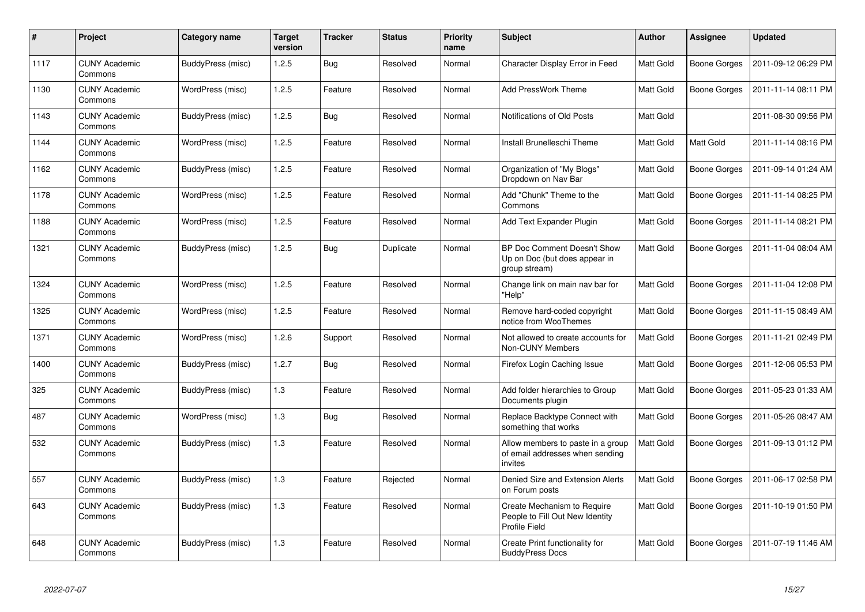| $\#$ | Project                         | Category name     | <b>Target</b><br>version | <b>Tracker</b> | <b>Status</b> | <b>Priority</b><br>name | <b>Subject</b>                                                                  | <b>Author</b>    | Assignee            | <b>Updated</b>      |
|------|---------------------------------|-------------------|--------------------------|----------------|---------------|-------------------------|---------------------------------------------------------------------------------|------------------|---------------------|---------------------|
| 1117 | <b>CUNY Academic</b><br>Commons | BuddyPress (misc) | 1.2.5                    | <b>Bug</b>     | Resolved      | Normal                  | Character Display Error in Feed                                                 | <b>Matt Gold</b> | Boone Gorges        | 2011-09-12 06:29 PM |
| 1130 | <b>CUNY Academic</b><br>Commons | WordPress (misc)  | 1.2.5                    | Feature        | Resolved      | Normal                  | <b>Add PressWork Theme</b>                                                      | Matt Gold        | <b>Boone Gorges</b> | 2011-11-14 08:11 PM |
| 1143 | <b>CUNY Academic</b><br>Commons | BuddyPress (misc) | 1.2.5                    | Bug            | Resolved      | Normal                  | Notifications of Old Posts                                                      | Matt Gold        |                     | 2011-08-30 09:56 PM |
| 1144 | <b>CUNY Academic</b><br>Commons | WordPress (misc)  | 1.2.5                    | Feature        | Resolved      | Normal                  | Install Brunelleschi Theme                                                      | Matt Gold        | Matt Gold           | 2011-11-14 08:16 PM |
| 1162 | <b>CUNY Academic</b><br>Commons | BuddyPress (misc) | 1.2.5                    | Feature        | Resolved      | Normal                  | Organization of "My Blogs"<br>Dropdown on Nav Bar                               | Matt Gold        | Boone Gorges        | 2011-09-14 01:24 AM |
| 1178 | <b>CUNY Academic</b><br>Commons | WordPress (misc)  | 1.2.5                    | Feature        | Resolved      | Normal                  | Add "Chunk" Theme to the<br>Commons                                             | Matt Gold        | Boone Gorges        | 2011-11-14 08:25 PM |
| 1188 | <b>CUNY Academic</b><br>Commons | WordPress (misc)  | 1.2.5                    | Feature        | Resolved      | Normal                  | Add Text Expander Plugin                                                        | Matt Gold        | Boone Gorges        | 2011-11-14 08:21 PM |
| 1321 | <b>CUNY Academic</b><br>Commons | BuddyPress (misc) | 1.2.5                    | Bug            | Duplicate     | Normal                  | BP Doc Comment Doesn't Show<br>Up on Doc (but does appear in<br>group stream)   | <b>Matt Gold</b> | Boone Gorges        | 2011-11-04 08:04 AM |
| 1324 | <b>CUNY Academic</b><br>Commons | WordPress (misc)  | 1.2.5                    | Feature        | Resolved      | Normal                  | Change link on main nav bar for<br>"Help"                                       | Matt Gold        | Boone Gorges        | 2011-11-04 12:08 PM |
| 1325 | <b>CUNY Academic</b><br>Commons | WordPress (misc)  | 1.2.5                    | Feature        | Resolved      | Normal                  | Remove hard-coded copyright<br>notice from WooThemes                            | Matt Gold        | Boone Gorges        | 2011-11-15 08:49 AM |
| 1371 | <b>CUNY Academic</b><br>Commons | WordPress (misc)  | 1.2.6                    | Support        | Resolved      | Normal                  | Not allowed to create accounts for<br>Non-CUNY Members                          | Matt Gold        | Boone Gorges        | 2011-11-21 02:49 PM |
| 1400 | <b>CUNY Academic</b><br>Commons | BuddyPress (misc) | 1.2.7                    | <b>Bug</b>     | Resolved      | Normal                  | Firefox Login Caching Issue                                                     | Matt Gold        | Boone Gorges        | 2011-12-06 05:53 PM |
| 325  | <b>CUNY Academic</b><br>Commons | BuddyPress (misc) | 1.3                      | Feature        | Resolved      | Normal                  | Add folder hierarchies to Group<br>Documents plugin                             | <b>Matt Gold</b> | Boone Gorges        | 2011-05-23 01:33 AM |
| 487  | <b>CUNY Academic</b><br>Commons | WordPress (misc)  | 1.3                      | Bug            | Resolved      | Normal                  | Replace Backtype Connect with<br>something that works                           | Matt Gold        | Boone Gorges        | 2011-05-26 08:47 AM |
| 532  | <b>CUNY Academic</b><br>Commons | BuddyPress (misc) | 1.3                      | Feature        | Resolved      | Normal                  | Allow members to paste in a group<br>of email addresses when sending<br>invites | Matt Gold        | Boone Gorges        | 2011-09-13 01:12 PM |
| 557  | <b>CUNY Academic</b><br>Commons | BuddyPress (misc) | 1.3                      | Feature        | Rejected      | Normal                  | Denied Size and Extension Alerts<br>on Forum posts                              | Matt Gold        | Boone Gorges        | 2011-06-17 02:58 PM |
| 643  | <b>CUNY Academic</b><br>Commons | BuddyPress (misc) | 1.3                      | Feature        | Resolved      | Normal                  | Create Mechanism to Require<br>People to Fill Out New Identity<br>Profile Field | Matt Gold        | Boone Gorges        | 2011-10-19 01:50 PM |
| 648  | <b>CUNY Academic</b><br>Commons | BuddyPress (misc) | 1.3                      | Feature        | Resolved      | Normal                  | Create Print functionality for<br><b>BuddyPress Docs</b>                        | Matt Gold        | Boone Gorges        | 2011-07-19 11:46 AM |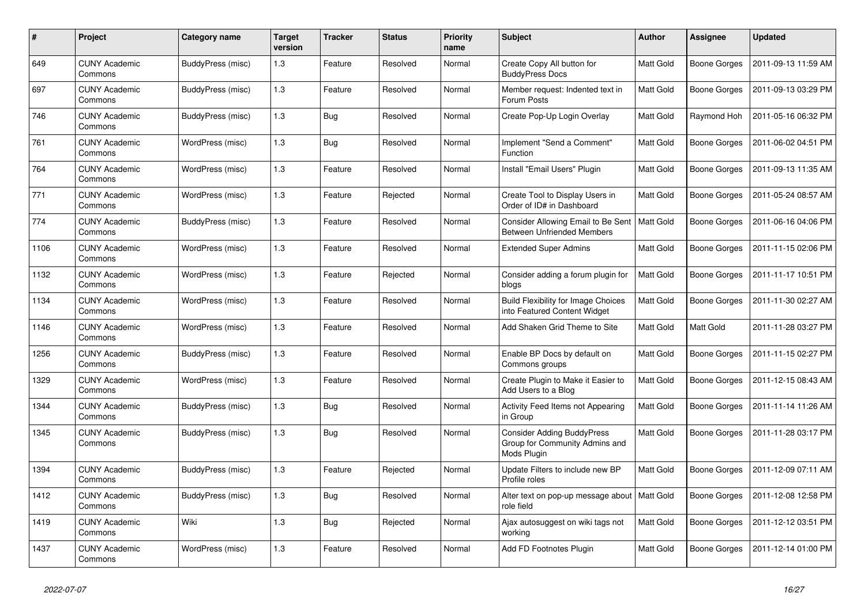| #    | Project                         | Category name            | <b>Target</b><br>version | <b>Tracker</b> | <b>Status</b> | <b>Priority</b><br>name | <b>Subject</b>                                                                     | <b>Author</b>    | Assignee     | <b>Updated</b>      |
|------|---------------------------------|--------------------------|--------------------------|----------------|---------------|-------------------------|------------------------------------------------------------------------------------|------------------|--------------|---------------------|
| 649  | <b>CUNY Academic</b><br>Commons | BuddyPress (misc)        | 1.3                      | Feature        | Resolved      | Normal                  | Create Copy All button for<br><b>BuddyPress Docs</b>                               | <b>Matt Gold</b> | Boone Gorges | 2011-09-13 11:59 AM |
| 697  | <b>CUNY Academic</b><br>Commons | BuddyPress (misc)        | 1.3                      | Feature        | Resolved      | Normal                  | Member request: Indented text in<br>Forum Posts                                    | Matt Gold        | Boone Gorges | 2011-09-13 03:29 PM |
| 746  | <b>CUNY Academic</b><br>Commons | BuddyPress (misc)        | 1.3                      | Bug            | Resolved      | Normal                  | Create Pop-Up Login Overlay                                                        | Matt Gold        | Raymond Hoh  | 2011-05-16 06:32 PM |
| 761  | <b>CUNY Academic</b><br>Commons | WordPress (misc)         | 1.3                      | <b>Bug</b>     | Resolved      | Normal                  | Implement "Send a Comment"<br>Function                                             | Matt Gold        | Boone Gorges | 2011-06-02 04:51 PM |
| 764  | <b>CUNY Academic</b><br>Commons | WordPress (misc)         | 1.3                      | Feature        | Resolved      | Normal                  | Install "Email Users" Plugin                                                       | Matt Gold        | Boone Gorges | 2011-09-13 11:35 AM |
| 771  | <b>CUNY Academic</b><br>Commons | WordPress (misc)         | 1.3                      | Feature        | Rejected      | Normal                  | Create Tool to Display Users in<br>Order of ID# in Dashboard                       | Matt Gold        | Boone Gorges | 2011-05-24 08:57 AM |
| 774  | <b>CUNY Academic</b><br>Commons | BuddyPress (misc)        | 1.3                      | Feature        | Resolved      | Normal                  | Consider Allowing Email to Be Sent<br><b>Between Unfriended Members</b>            | <b>Matt Gold</b> | Boone Gorges | 2011-06-16 04:06 PM |
| 1106 | <b>CUNY Academic</b><br>Commons | WordPress (misc)         | 1.3                      | Feature        | Resolved      | Normal                  | <b>Extended Super Admins</b>                                                       | Matt Gold        | Boone Gorges | 2011-11-15 02:06 PM |
| 1132 | CUNY Academic<br>Commons        | WordPress (misc)         | 1.3                      | Feature        | Rejected      | Normal                  | Consider adding a forum plugin for<br>blogs                                        | <b>Matt Gold</b> | Boone Gorges | 2011-11-17 10:51 PM |
| 1134 | <b>CUNY Academic</b><br>Commons | WordPress (misc)         | 1.3                      | Feature        | Resolved      | Normal                  | <b>Build Flexibility for Image Choices</b><br>into Featured Content Widget         | Matt Gold        | Boone Gorges | 2011-11-30 02:27 AM |
| 1146 | <b>CUNY Academic</b><br>Commons | WordPress (misc)         | 1.3                      | Feature        | Resolved      | Normal                  | Add Shaken Grid Theme to Site                                                      | Matt Gold        | Matt Gold    | 2011-11-28 03:27 PM |
| 1256 | <b>CUNY Academic</b><br>Commons | <b>BuddyPress (misc)</b> | 1.3                      | Feature        | Resolved      | Normal                  | Enable BP Docs by default on<br>Commons groups                                     | Matt Gold        | Boone Gorges | 2011-11-15 02:27 PM |
| 1329 | <b>CUNY Academic</b><br>Commons | WordPress (misc)         | 1.3                      | Feature        | Resolved      | Normal                  | Create Plugin to Make it Easier to<br>Add Users to a Blog                          | Matt Gold        | Boone Gorges | 2011-12-15 08:43 AM |
| 1344 | <b>CUNY Academic</b><br>Commons | BuddyPress (misc)        | 1.3                      | Bug            | Resolved      | Normal                  | Activity Feed Items not Appearing<br>in Group                                      | <b>Matt Gold</b> | Boone Gorges | 2011-11-14 11:26 AM |
| 1345 | <b>CUNY Academic</b><br>Commons | BuddyPress (misc)        | 1.3                      | Bug            | Resolved      | Normal                  | <b>Consider Adding BuddyPress</b><br>Group for Community Admins and<br>Mods Plugin | Matt Gold        | Boone Gorges | 2011-11-28 03:17 PM |
| 1394 | <b>CUNY Academic</b><br>Commons | BuddyPress (misc)        | 1.3                      | Feature        | Rejected      | Normal                  | Update Filters to include new BP<br>Profile roles                                  | Matt Gold        | Boone Gorges | 2011-12-09 07:11 AM |
| 1412 | <b>CUNY Academic</b><br>Commons | BuddyPress (misc)        | 1.3                      | Bug            | Resolved      | Normal                  | Alter text on pop-up message about<br>role field                                   | Matt Gold        | Boone Gorges | 2011-12-08 12:58 PM |
| 1419 | <b>CUNY Academic</b><br>Commons | Wiki                     | 1.3                      | <b>Bug</b>     | Rejected      | Normal                  | Ajax autosuggest on wiki tags not<br>working                                       | Matt Gold        | Boone Gorges | 2011-12-12 03:51 PM |
| 1437 | <b>CUNY Academic</b><br>Commons | WordPress (misc)         | 1.3                      | Feature        | Resolved      | Normal                  | Add FD Footnotes Plugin                                                            | <b>Matt Gold</b> | Boone Gorges | 2011-12-14 01:00 PM |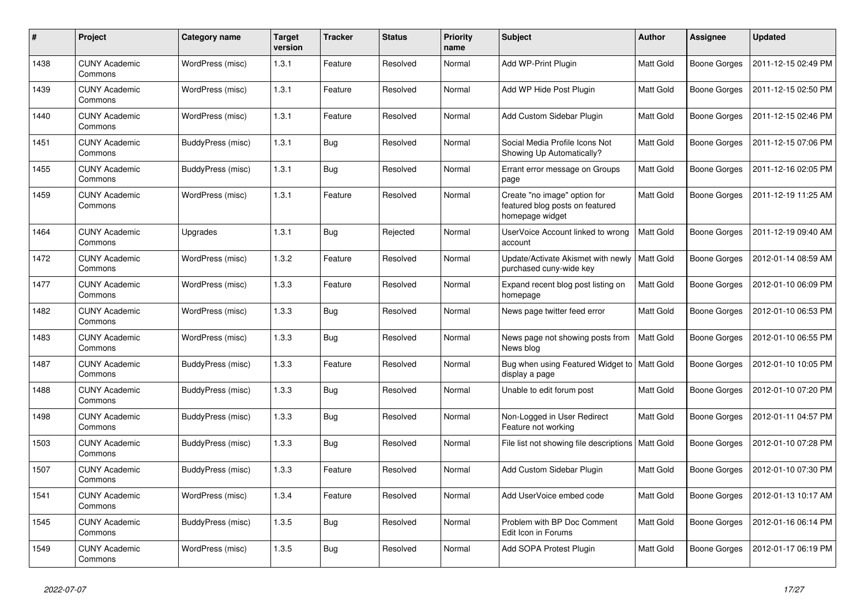| $\pmb{\#}$ | Project                         | Category name     | <b>Target</b><br>version | <b>Tracker</b> | <b>Status</b> | <b>Priority</b><br>name | <b>Subject</b>                                                                     | <b>Author</b>    | Assignee     | <b>Updated</b>      |
|------------|---------------------------------|-------------------|--------------------------|----------------|---------------|-------------------------|------------------------------------------------------------------------------------|------------------|--------------|---------------------|
| 1438       | <b>CUNY Academic</b><br>Commons | WordPress (misc)  | 1.3.1                    | Feature        | Resolved      | Normal                  | Add WP-Print Plugin                                                                | <b>Matt Gold</b> | Boone Gorges | 2011-12-15 02:49 PM |
| 1439       | <b>CUNY Academic</b><br>Commons | WordPress (misc)  | 1.3.1                    | Feature        | Resolved      | Normal                  | Add WP Hide Post Plugin                                                            | Matt Gold        | Boone Gorges | 2011-12-15 02:50 PM |
| 1440       | <b>CUNY Academic</b><br>Commons | WordPress (misc)  | 1.3.1                    | Feature        | Resolved      | Normal                  | Add Custom Sidebar Plugin                                                          | Matt Gold        | Boone Gorges | 2011-12-15 02:46 PM |
| 1451       | <b>CUNY Academic</b><br>Commons | BuddyPress (misc) | 1.3.1                    | Bug            | Resolved      | Normal                  | Social Media Profile Icons Not<br>Showing Up Automatically?                        | <b>Matt Gold</b> | Boone Gorges | 2011-12-15 07:06 PM |
| 1455       | <b>CUNY Academic</b><br>Commons | BuddyPress (misc) | 1.3.1                    | <b>Bug</b>     | Resolved      | Normal                  | Errant error message on Groups<br>page                                             | Matt Gold        | Boone Gorges | 2011-12-16 02:05 PM |
| 1459       | <b>CUNY Academic</b><br>Commons | WordPress (misc)  | 1.3.1                    | Feature        | Resolved      | Normal                  | Create "no image" option for<br>featured blog posts on featured<br>homepage widget | Matt Gold        | Boone Gorges | 2011-12-19 11:25 AM |
| 1464       | <b>CUNY Academic</b><br>Commons | Upgrades          | 1.3.1                    | Bug            | Rejected      | Normal                  | UserVoice Account linked to wrong<br>account                                       | Matt Gold        | Boone Gorges | 2011-12-19 09:40 AM |
| 1472       | <b>CUNY Academic</b><br>Commons | WordPress (misc)  | 1.3.2                    | Feature        | Resolved      | Normal                  | Update/Activate Akismet with newly<br>purchased cuny-wide key                      | <b>Matt Gold</b> | Boone Gorges | 2012-01-14 08:59 AM |
| 1477       | <b>CUNY Academic</b><br>Commons | WordPress (misc)  | 1.3.3                    | Feature        | Resolved      | Normal                  | Expand recent blog post listing on<br>homepage                                     | Matt Gold        | Boone Gorges | 2012-01-10 06:09 PM |
| 1482       | <b>CUNY Academic</b><br>Commons | WordPress (misc)  | 1.3.3                    | Bug            | Resolved      | Normal                  | News page twitter feed error                                                       | Matt Gold        | Boone Gorges | 2012-01-10 06:53 PM |
| 1483       | <b>CUNY Academic</b><br>Commons | WordPress (misc)  | 1.3.3                    | <b>Bug</b>     | Resolved      | Normal                  | News page not showing posts from<br>News blog                                      | Matt Gold        | Boone Gorges | 2012-01-10 06:55 PM |
| 1487       | <b>CUNY Academic</b><br>Commons | BuddyPress (misc) | 1.3.3                    | Feature        | Resolved      | Normal                  | Bug when using Featured Widget to   Matt Gold<br>display a page                    |                  | Boone Gorges | 2012-01-10 10:05 PM |
| 1488       | <b>CUNY Academic</b><br>Commons | BuddyPress (misc) | 1.3.3                    | Bug            | Resolved      | Normal                  | Unable to edit forum post                                                          | Matt Gold        | Boone Gorges | 2012-01-10 07:20 PM |
| 1498       | <b>CUNY Academic</b><br>Commons | BuddyPress (misc) | 1.3.3                    | <b>Bug</b>     | Resolved      | Normal                  | Non-Logged in User Redirect<br>Feature not working                                 | Matt Gold        | Boone Gorges | 2012-01-11 04:57 PM |
| 1503       | <b>CUNY Academic</b><br>Commons | BuddyPress (misc) | 1.3.3                    | Bug            | Resolved      | Normal                  | File list not showing file descriptions   Matt Gold                                |                  | Boone Gorges | 2012-01-10 07:28 PM |
| 1507       | <b>CUNY Academic</b><br>Commons | BuddyPress (misc) | 1.3.3                    | Feature        | Resolved      | Normal                  | Add Custom Sidebar Plugin                                                          | Matt Gold        | Boone Gorges | 2012-01-10 07:30 PM |
| 1541       | <b>CUNY Academic</b><br>Commons | WordPress (misc)  | 1.3.4                    | Feature        | Resolved      | Normal                  | Add UserVoice embed code                                                           | <b>Matt Gold</b> | Boone Gorges | 2012-01-13 10:17 AM |
| 1545       | <b>CUNY Academic</b><br>Commons | BuddyPress (misc) | 1.3.5                    | <b>Bug</b>     | Resolved      | Normal                  | Problem with BP Doc Comment<br>Edit Icon in Forums                                 | Matt Gold        | Boone Gorges | 2012-01-16 06:14 PM |
| 1549       | <b>CUNY Academic</b><br>Commons | WordPress (misc)  | 1.3.5                    | <b>Bug</b>     | Resolved      | Normal                  | Add SOPA Protest Plugin                                                            | Matt Gold        | Boone Gorges | 2012-01-17 06:19 PM |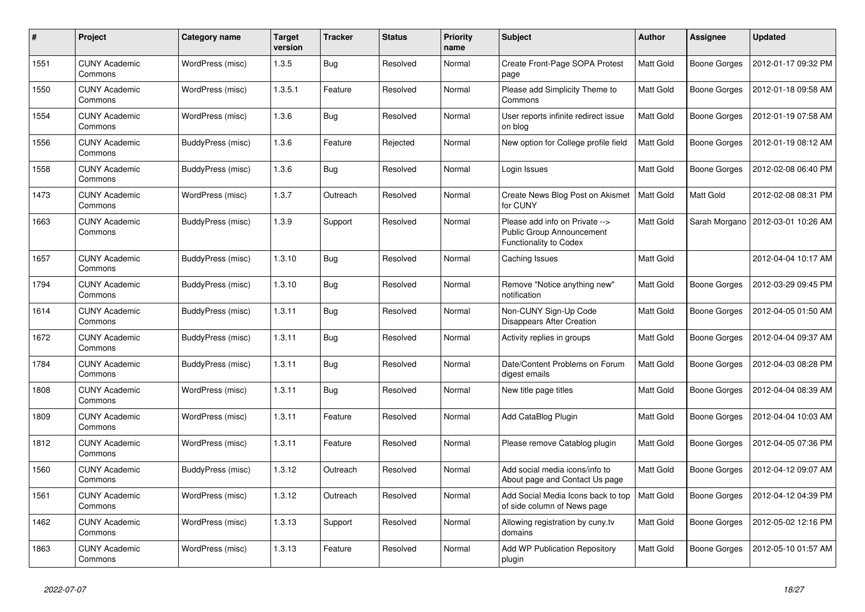| #    | Project                         | Category name     | <b>Target</b><br>version | <b>Tracker</b> | <b>Status</b> | <b>Priority</b><br>name | <b>Subject</b>                                                                        | <b>Author</b>    | Assignee            | <b>Updated</b>      |
|------|---------------------------------|-------------------|--------------------------|----------------|---------------|-------------------------|---------------------------------------------------------------------------------------|------------------|---------------------|---------------------|
| 1551 | <b>CUNY Academic</b><br>Commons | WordPress (misc)  | 1.3.5                    | <b>Bug</b>     | Resolved      | Normal                  | Create Front-Page SOPA Protest<br>page                                                | <b>Matt Gold</b> | Boone Gorges        | 2012-01-17 09:32 PM |
| 1550 | <b>CUNY Academic</b><br>Commons | WordPress (misc)  | 1.3.5.1                  | Feature        | Resolved      | Normal                  | Please add Simplicity Theme to<br>Commons                                             | <b>Matt Gold</b> | Boone Gorges        | 2012-01-18 09:58 AM |
| 1554 | <b>CUNY Academic</b><br>Commons | WordPress (misc)  | 1.3.6                    | <b>Bug</b>     | Resolved      | Normal                  | User reports infinite redirect issue<br>on blog                                       | Matt Gold        | Boone Gorges        | 2012-01-19 07:58 AM |
| 1556 | <b>CUNY Academic</b><br>Commons | BuddyPress (misc) | 1.3.6                    | Feature        | Rejected      | Normal                  | New option for College profile field                                                  | Matt Gold        | Boone Gorges        | 2012-01-19 08:12 AM |
| 1558 | <b>CUNY Academic</b><br>Commons | BuddyPress (misc) | 1.3.6                    | Bug            | Resolved      | Normal                  | Login Issues                                                                          | Matt Gold        | Boone Gorges        | 2012-02-08 06:40 PM |
| 1473 | <b>CUNY Academic</b><br>Commons | WordPress (misc)  | 1.3.7                    | Outreach       | Resolved      | Normal                  | Create News Blog Post on Akismet<br>for CUNY                                          | Matt Gold        | Matt Gold           | 2012-02-08 08:31 PM |
| 1663 | <b>CUNY Academic</b><br>Commons | BuddyPress (misc) | 1.3.9                    | Support        | Resolved      | Normal                  | Please add info on Private --><br>Public Group Announcement<br>Functionality to Codex | <b>Matt Gold</b> | Sarah Morgano       | 2012-03-01 10:26 AM |
| 1657 | <b>CUNY Academic</b><br>Commons | BuddyPress (misc) | 1.3.10                   | <b>Bug</b>     | Resolved      | Normal                  | Caching Issues                                                                        | Matt Gold        |                     | 2012-04-04 10:17 AM |
| 1794 | <b>CUNY Academic</b><br>Commons | BuddyPress (misc) | 1.3.10                   | <b>Bug</b>     | Resolved      | Normal                  | Remove "Notice anything new"<br>notification                                          | Matt Gold        | Boone Gorges        | 2012-03-29 09:45 PM |
| 1614 | <b>CUNY Academic</b><br>Commons | BuddyPress (misc) | 1.3.11                   | <b>Bug</b>     | Resolved      | Normal                  | Non-CUNY Sign-Up Code<br>Disappears After Creation                                    | Matt Gold        | <b>Boone Gorges</b> | 2012-04-05 01:50 AM |
| 1672 | <b>CUNY Academic</b><br>Commons | BuddyPress (misc) | 1.3.11                   | Bug            | Resolved      | Normal                  | Activity replies in groups                                                            | Matt Gold        | Boone Gorges        | 2012-04-04 09:37 AM |
| 1784 | <b>CUNY Academic</b><br>Commons | BuddyPress (misc) | 1.3.11                   | <b>Bug</b>     | Resolved      | Normal                  | Date/Content Problems on Forum<br>digest emails                                       | <b>Matt Gold</b> | Boone Gorges        | 2012-04-03 08:28 PM |
| 1808 | <b>CUNY Academic</b><br>Commons | WordPress (misc)  | 1.3.11                   | <b>Bug</b>     | Resolved      | Normal                  | New title page titles                                                                 | <b>Matt Gold</b> | Boone Gorges        | 2012-04-04 08:39 AM |
| 1809 | <b>CUNY Academic</b><br>Commons | WordPress (misc)  | 1.3.11                   | Feature        | Resolved      | Normal                  | Add CataBlog Plugin                                                                   | Matt Gold        | Boone Gorges        | 2012-04-04 10:03 AM |
| 1812 | <b>CUNY Academic</b><br>Commons | WordPress (misc)  | 1.3.11                   | Feature        | Resolved      | Normal                  | Please remove Catablog plugin                                                         | <b>Matt Gold</b> | Boone Gorges        | 2012-04-05 07:36 PM |
| 1560 | <b>CUNY Academic</b><br>Commons | BuddyPress (misc) | 1.3.12                   | Outreach       | Resolved      | Normal                  | Add social media icons/info to<br>About page and Contact Us page                      | Matt Gold        | Boone Gorges        | 2012-04-12 09:07 AM |
| 1561 | <b>CUNY Academic</b><br>Commons | WordPress (misc)  | 1.3.12                   | Outreach       | Resolved      | Normal                  | Add Social Media Icons back to top<br>of side column of News page                     | Matt Gold        | Boone Gorges        | 2012-04-12 04:39 PM |
| 1462 | <b>CUNY Academic</b><br>Commons | WordPress (misc)  | 1.3.13                   | Support        | Resolved      | Normal                  | Allowing registration by cuny.tv<br>domains                                           | <b>Matt Gold</b> | Boone Gorges        | 2012-05-02 12:16 PM |
| 1863 | <b>CUNY Academic</b><br>Commons | WordPress (misc)  | 1.3.13                   | Feature        | Resolved      | Normal                  | Add WP Publication Repository<br>plugin                                               | Matt Gold        | Boone Gorges        | 2012-05-10 01:57 AM |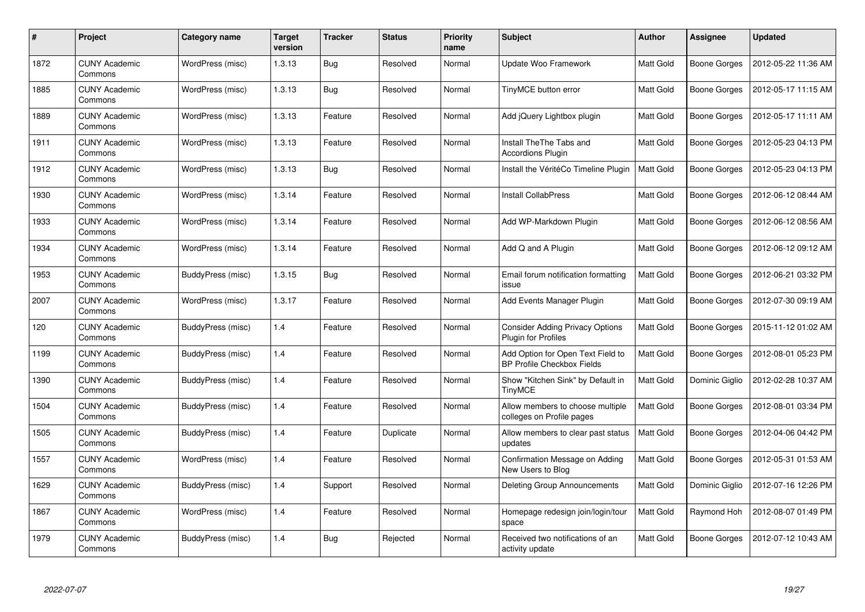| #    | Project                         | Category name     | <b>Target</b><br>version | <b>Tracker</b> | <b>Status</b> | <b>Priority</b><br>name | <b>Subject</b>                                                  | <b>Author</b>    | Assignee            | Updated             |
|------|---------------------------------|-------------------|--------------------------|----------------|---------------|-------------------------|-----------------------------------------------------------------|------------------|---------------------|---------------------|
| 1872 | <b>CUNY Academic</b><br>Commons | WordPress (misc)  | 1.3.13                   | <b>Bug</b>     | Resolved      | Normal                  | Update Woo Framework                                            | Matt Gold        | Boone Gorges        | 2012-05-22 11:36 AM |
| 1885 | <b>CUNY Academic</b><br>Commons | WordPress (misc)  | 1.3.13                   | <b>Bug</b>     | Resolved      | Normal                  | TinyMCE button error                                            | <b>Matt Gold</b> | <b>Boone Gorges</b> | 2012-05-17 11:15 AM |
| 1889 | <b>CUNY Academic</b><br>Commons | WordPress (misc)  | 1.3.13                   | Feature        | Resolved      | Normal                  | Add jQuery Lightbox plugin                                      | <b>Matt Gold</b> | Boone Gorges        | 2012-05-17 11:11 AM |
| 1911 | <b>CUNY Academic</b><br>Commons | WordPress (misc)  | 1.3.13                   | Feature        | Resolved      | Normal                  | Install The The Tabs and<br><b>Accordions Plugin</b>            | Matt Gold        | Boone Gorges        | 2012-05-23 04:13 PM |
| 1912 | <b>CUNY Academic</b><br>Commons | WordPress (misc)  | 1.3.13                   | <b>Bug</b>     | Resolved      | Normal                  | Install the VéritéCo Timeline Plugin                            | <b>Matt Gold</b> | <b>Boone Gorges</b> | 2012-05-23 04:13 PM |
| 1930 | <b>CUNY Academic</b><br>Commons | WordPress (misc)  | 1.3.14                   | Feature        | Resolved      | Normal                  | <b>Install CollabPress</b>                                      | <b>Matt Gold</b> | Boone Gorges        | 2012-06-12 08:44 AM |
| 1933 | <b>CUNY Academic</b><br>Commons | WordPress (misc)  | 1.3.14                   | Feature        | Resolved      | Normal                  | Add WP-Markdown Plugin                                          | <b>Matt Gold</b> | Boone Gorges        | 2012-06-12 08:56 AM |
| 1934 | <b>CUNY Academic</b><br>Commons | WordPress (misc)  | 1.3.14                   | Feature        | Resolved      | Normal                  | Add Q and A Plugin                                              | <b>Matt Gold</b> | Boone Gorges        | 2012-06-12 09:12 AM |
| 1953 | <b>CUNY Academic</b><br>Commons | BuddyPress (misc) | 1.3.15                   | <b>Bug</b>     | Resolved      | Normal                  | Email forum notification formatting<br>issue                    | <b>Matt Gold</b> | Boone Gorges        | 2012-06-21 03:32 PM |
| 2007 | <b>CUNY Academic</b><br>Commons | WordPress (misc)  | 1.3.17                   | Feature        | Resolved      | Normal                  | Add Events Manager Plugin                                       | <b>Matt Gold</b> | <b>Boone Gorges</b> | 2012-07-30 09:19 AM |
| 120  | <b>CUNY Academic</b><br>Commons | BuddyPress (misc) | 1.4                      | Feature        | Resolved      | Normal                  | <b>Consider Adding Privacy Options</b><br>Plugin for Profiles   | Matt Gold        | <b>Boone Gorges</b> | 2015-11-12 01:02 AM |
| 1199 | <b>CUNY Academic</b><br>Commons | BuddyPress (misc) | 1.4                      | Feature        | Resolved      | Normal                  | Add Option for Open Text Field to<br>BP Profile Checkbox Fields | Matt Gold        | Boone Gorges        | 2012-08-01 05:23 PM |
| 1390 | <b>CUNY Academic</b><br>Commons | BuddyPress (misc) | 1.4                      | Feature        | Resolved      | Normal                  | Show "Kitchen Sink" by Default in<br><b>TinyMCE</b>             | Matt Gold        | Dominic Giglio      | 2012-02-28 10:37 AM |
| 1504 | <b>CUNY Academic</b><br>Commons | BuddyPress (misc) | 1.4                      | Feature        | Resolved      | Normal                  | Allow members to choose multiple<br>colleges on Profile pages   | Matt Gold        | Boone Gorges        | 2012-08-01 03:34 PM |
| 1505 | <b>CUNY Academic</b><br>Commons | BuddyPress (misc) | 1.4                      | Feature        | Duplicate     | Normal                  | Allow members to clear past status<br>updates                   | Matt Gold        | Boone Gorges        | 2012-04-06 04:42 PM |
| 1557 | <b>CUNY Academic</b><br>Commons | WordPress (misc)  | 1.4                      | Feature        | Resolved      | Normal                  | Confirmation Message on Adding<br>New Users to Blog             | Matt Gold        | Boone Gorges        | 2012-05-31 01:53 AM |
| 1629 | <b>CUNY Academic</b><br>Commons | BuddyPress (misc) | 1.4                      | Support        | Resolved      | Normal                  | <b>Deleting Group Announcements</b>                             | <b>Matt Gold</b> | Dominic Giglio      | 2012-07-16 12:26 PM |
| 1867 | <b>CUNY Academic</b><br>Commons | WordPress (misc)  | 1.4                      | Feature        | Resolved      | Normal                  | Homepage redesign join/login/tour<br>space                      | Matt Gold        | Raymond Hoh         | 2012-08-07 01:49 PM |
| 1979 | <b>CUNY Academic</b><br>Commons | BuddyPress (misc) | 1.4                      | Bug            | Rejected      | Normal                  | Received two notifications of an<br>activity update             | <b>Matt Gold</b> | Boone Gorges        | 2012-07-12 10:43 AM |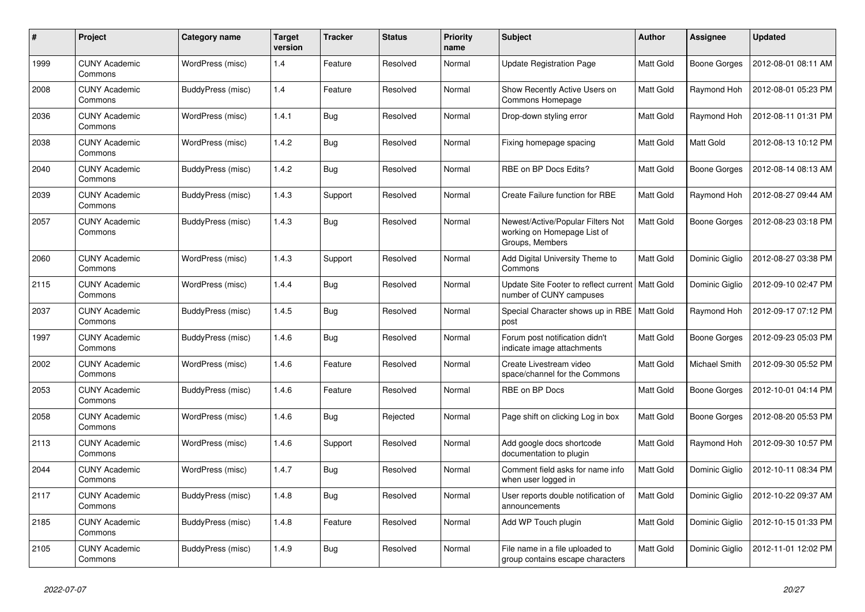| #    | Project                         | Category name     | <b>Target</b><br>version | <b>Tracker</b> | <b>Status</b> | <b>Priority</b><br>name | Subject                                                                             | <b>Author</b>    | Assignee       | <b>Updated</b>      |
|------|---------------------------------|-------------------|--------------------------|----------------|---------------|-------------------------|-------------------------------------------------------------------------------------|------------------|----------------|---------------------|
| 1999 | <b>CUNY Academic</b><br>Commons | WordPress (misc)  | 1.4                      | Feature        | Resolved      | Normal                  | <b>Update Registration Page</b>                                                     | <b>Matt Gold</b> | Boone Gorges   | 2012-08-01 08:11 AM |
| 2008 | <b>CUNY Academic</b><br>Commons | BuddyPress (misc) | 1.4                      | Feature        | Resolved      | Normal                  | Show Recently Active Users on<br>Commons Homepage                                   | Matt Gold        | Raymond Hoh    | 2012-08-01 05:23 PM |
| 2036 | <b>CUNY Academic</b><br>Commons | WordPress (misc)  | 1.4.1                    | <b>Bug</b>     | Resolved      | Normal                  | Drop-down styling error                                                             | Matt Gold        | Raymond Hoh    | 2012-08-11 01:31 PM |
| 2038 | <b>CUNY Academic</b><br>Commons | WordPress (misc)  | 1.4.2                    | <b>Bug</b>     | Resolved      | Normal                  | Fixing homepage spacing                                                             | Matt Gold        | Matt Gold      | 2012-08-13 10:12 PM |
| 2040 | <b>CUNY Academic</b><br>Commons | BuddyPress (misc) | 1.4.2                    | <b>Bug</b>     | Resolved      | Normal                  | RBE on BP Docs Edits?                                                               | Matt Gold        | Boone Gorges   | 2012-08-14 08:13 AM |
| 2039 | <b>CUNY Academic</b><br>Commons | BuddyPress (misc) | 1.4.3                    | Support        | Resolved      | Normal                  | <b>Create Failure function for RBE</b>                                              | Matt Gold        | Raymond Hoh    | 2012-08-27 09:44 AM |
| 2057 | <b>CUNY Academic</b><br>Commons | BuddyPress (misc) | 1.4.3                    | Bug            | Resolved      | Normal                  | Newest/Active/Popular Filters Not<br>working on Homepage List of<br>Groups, Members | <b>Matt Gold</b> | Boone Gorges   | 2012-08-23 03:18 PM |
| 2060 | <b>CUNY Academic</b><br>Commons | WordPress (misc)  | 1.4.3                    | Support        | Resolved      | Normal                  | Add Digital University Theme to<br>Commons                                          | Matt Gold        | Dominic Giglio | 2012-08-27 03:38 PM |
| 2115 | <b>CUNY Academic</b><br>Commons | WordPress (misc)  | 1.4.4                    | <b>Bug</b>     | Resolved      | Normal                  | Update Site Footer to reflect current   Matt Gold<br>number of CUNY campuses        |                  | Dominic Giglio | 2012-09-10 02:47 PM |
| 2037 | <b>CUNY Academic</b><br>Commons | BuddyPress (misc) | 1.4.5                    | <b>Bug</b>     | Resolved      | Normal                  | Special Character shows up in RBE   Matt Gold<br>post                               |                  | Raymond Hoh    | 2012-09-17 07:12 PM |
| 1997 | <b>CUNY Academic</b><br>Commons | BuddyPress (misc) | 1.4.6                    | Bug            | Resolved      | Normal                  | Forum post notification didn't<br>indicate image attachments                        | <b>Matt Gold</b> | Boone Gorges   | 2012-09-23 05:03 PM |
| 2002 | <b>CUNY Academic</b><br>Commons | WordPress (misc)  | 1.4.6                    | Feature        | Resolved      | Normal                  | Create Livestream video<br>space/channel for the Commons                            | <b>Matt Gold</b> | Michael Smith  | 2012-09-30 05:52 PM |
| 2053 | <b>CUNY Academic</b><br>Commons | BuddyPress (misc) | 1.4.6                    | Feature        | Resolved      | Normal                  | RBE on BP Docs                                                                      | <b>Matt Gold</b> | Boone Gorges   | 2012-10-01 04:14 PM |
| 2058 | <b>CUNY Academic</b><br>Commons | WordPress (misc)  | 1.4.6                    | Bug            | Rejected      | Normal                  | Page shift on clicking Log in box                                                   | Matt Gold        | Boone Gorges   | 2012-08-20 05:53 PM |
| 2113 | <b>CUNY Academic</b><br>Commons | WordPress (misc)  | 1.4.6                    | Support        | Resolved      | Normal                  | Add google docs shortcode<br>documentation to plugin                                | <b>Matt Gold</b> | Raymond Hoh    | 2012-09-30 10:57 PM |
| 2044 | <b>CUNY Academic</b><br>Commons | WordPress (misc)  | 1.4.7                    | <b>Bug</b>     | Resolved      | Normal                  | Comment field asks for name info<br>when user logged in                             | Matt Gold        | Dominic Giglio | 2012-10-11 08:34 PM |
| 2117 | <b>CUNY Academic</b><br>Commons | BuddyPress (misc) | 1.4.8                    | <b>Bug</b>     | Resolved      | Normal                  | User reports double notification of<br>announcements                                | Matt Gold        | Dominic Giglio | 2012-10-22 09:37 AM |
| 2185 | <b>CUNY Academic</b><br>Commons | BuddyPress (misc) | 1.4.8                    | Feature        | Resolved      | Normal                  | Add WP Touch plugin                                                                 | <b>Matt Gold</b> | Dominic Giglio | 2012-10-15 01:33 PM |
| 2105 | <b>CUNY Academic</b><br>Commons | BuddyPress (misc) | 1.4.9                    | Bug            | Resolved      | Normal                  | File name in a file uploaded to<br>group contains escape characters                 | Matt Gold        | Dominic Giglio | 2012-11-01 12:02 PM |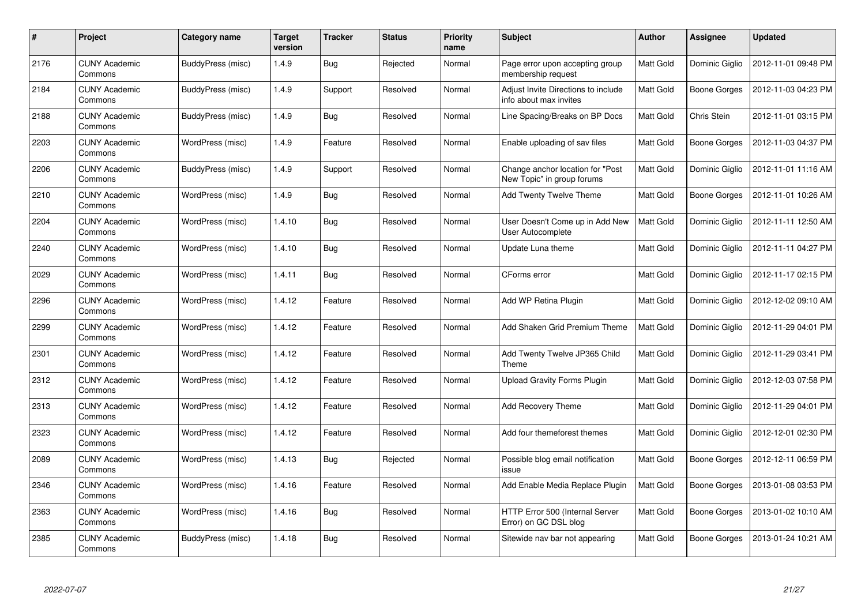| #    | Project                         | Category name     | <b>Target</b><br>version | <b>Tracker</b> | <b>Status</b> | <b>Priority</b><br>name | <b>Subject</b>                                                 | <b>Author</b>    | Assignee       | <b>Updated</b>      |
|------|---------------------------------|-------------------|--------------------------|----------------|---------------|-------------------------|----------------------------------------------------------------|------------------|----------------|---------------------|
| 2176 | <b>CUNY Academic</b><br>Commons | BuddyPress (misc) | 1.4.9                    | <b>Bug</b>     | Rejected      | Normal                  | Page error upon accepting group<br>membership request          | <b>Matt Gold</b> | Dominic Giglio | 2012-11-01 09:48 PM |
| 2184 | <b>CUNY Academic</b><br>Commons | BuddyPress (misc) | 1.4.9                    | Support        | Resolved      | Normal                  | Adjust Invite Directions to include<br>info about max invites  | <b>Matt Gold</b> | Boone Gorges   | 2012-11-03 04:23 PM |
| 2188 | <b>CUNY Academic</b><br>Commons | BuddyPress (misc) | 1.4.9                    | <b>Bug</b>     | Resolved      | Normal                  | Line Spacing/Breaks on BP Docs                                 | Matt Gold        | Chris Stein    | 2012-11-01 03:15 PM |
| 2203 | <b>CUNY Academic</b><br>Commons | WordPress (misc)  | 1.4.9                    | Feature        | Resolved      | Normal                  | Enable uploading of sav files                                  | Matt Gold        | Boone Gorges   | 2012-11-03 04:37 PM |
| 2206 | <b>CUNY Academic</b><br>Commons | BuddyPress (misc) | 1.4.9                    | Support        | Resolved      | Normal                  | Change anchor location for "Post<br>New Topic" in group forums | Matt Gold        | Dominic Giglio | 2012-11-01 11:16 AM |
| 2210 | <b>CUNY Academic</b><br>Commons | WordPress (misc)  | 1.4.9                    | <b>Bug</b>     | Resolved      | Normal                  | Add Twenty Twelve Theme                                        | <b>Matt Gold</b> | Boone Gorges   | 2012-11-01 10:26 AM |
| 2204 | <b>CUNY Academic</b><br>Commons | WordPress (misc)  | 1.4.10                   | Bug            | Resolved      | Normal                  | User Doesn't Come up in Add New<br>User Autocomplete           | <b>Matt Gold</b> | Dominic Giglio | 2012-11-11 12:50 AM |
| 2240 | <b>CUNY Academic</b><br>Commons | WordPress (misc)  | 1.4.10                   | <b>Bug</b>     | Resolved      | Normal                  | Update Luna theme                                              | <b>Matt Gold</b> | Dominic Giglio | 2012-11-11 04:27 PM |
| 2029 | <b>CUNY Academic</b><br>Commons | WordPress (misc)  | 1.4.11                   | Bug            | Resolved      | Normal                  | CForms error                                                   | Matt Gold        | Dominic Giglio | 2012-11-17 02:15 PM |
| 2296 | <b>CUNY Academic</b><br>Commons | WordPress (misc)  | 1.4.12                   | Feature        | Resolved      | Normal                  | Add WP Retina Plugin                                           | Matt Gold        | Dominic Giglio | 2012-12-02 09:10 AM |
| 2299 | <b>CUNY Academic</b><br>Commons | WordPress (misc)  | 1.4.12                   | Feature        | Resolved      | Normal                  | Add Shaken Grid Premium Theme                                  | Matt Gold        | Dominic Giglio | 2012-11-29 04:01 PM |
| 2301 | <b>CUNY Academic</b><br>Commons | WordPress (misc)  | 1.4.12                   | Feature        | Resolved      | Normal                  | Add Twenty Twelve JP365 Child<br>Theme                         | Matt Gold        | Dominic Giglio | 2012-11-29 03:41 PM |
| 2312 | <b>CUNY Academic</b><br>Commons | WordPress (misc)  | 1.4.12                   | Feature        | Resolved      | Normal                  | <b>Upload Gravity Forms Plugin</b>                             | Matt Gold        | Dominic Giglio | 2012-12-03 07:58 PM |
| 2313 | <b>CUNY Academic</b><br>Commons | WordPress (misc)  | 1.4.12                   | Feature        | Resolved      | Normal                  | Add Recovery Theme                                             | Matt Gold        | Dominic Giglio | 2012-11-29 04:01 PM |
| 2323 | <b>CUNY Academic</b><br>Commons | WordPress (misc)  | 1.4.12                   | Feature        | Resolved      | Normal                  | Add four themeforest themes                                    | Matt Gold        | Dominic Giglio | 2012-12-01 02:30 PM |
| 2089 | <b>CUNY Academic</b><br>Commons | WordPress (misc)  | 1.4.13                   | <b>Bug</b>     | Rejected      | Normal                  | Possible blog email notification<br>issue                      | Matt Gold        | Boone Gorges   | 2012-12-11 06:59 PM |
| 2346 | <b>CUNY Academic</b><br>Commons | WordPress (misc)  | 1.4.16                   | Feature        | Resolved      | Normal                  | Add Enable Media Replace Plugin                                | Matt Gold        | Boone Gorges   | 2013-01-08 03:53 PM |
| 2363 | <b>CUNY Academic</b><br>Commons | WordPress (misc)  | 1.4.16                   | <b>Bug</b>     | Resolved      | Normal                  | HTTP Error 500 (Internal Server<br>Error) on GC DSL blog       | Matt Gold        | Boone Gorges   | 2013-01-02 10:10 AM |
| 2385 | CUNY Academic<br>Commons        | BuddyPress (misc) | 1.4.18                   | Bug            | Resolved      | Normal                  | Sitewide nav bar not appearing                                 | <b>Matt Gold</b> | Boone Gorges   | 2013-01-24 10:21 AM |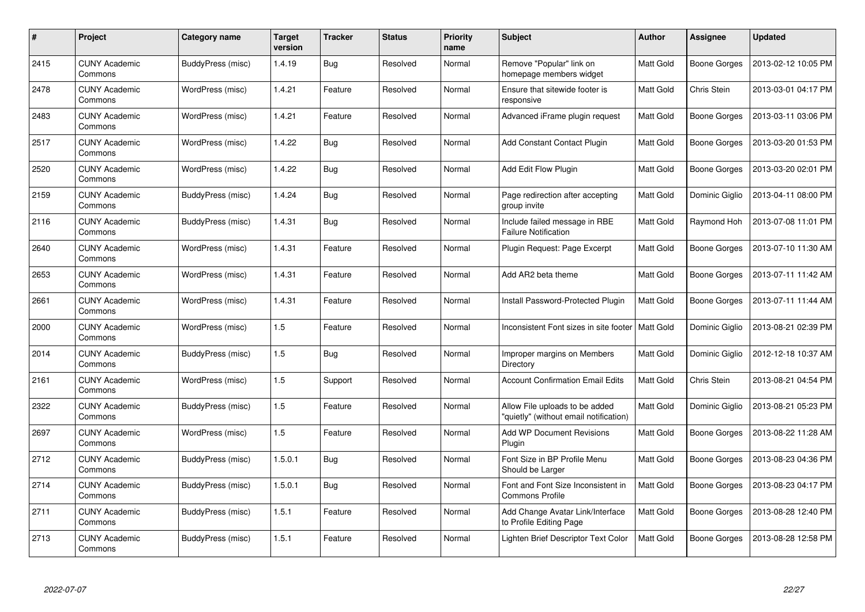| #    | Project                         | Category name     | <b>Target</b><br>version | <b>Tracker</b> | <b>Status</b> | <b>Priority</b><br>name | <b>Subject</b>                                                           | <b>Author</b>    | Assignee       | <b>Updated</b>      |
|------|---------------------------------|-------------------|--------------------------|----------------|---------------|-------------------------|--------------------------------------------------------------------------|------------------|----------------|---------------------|
| 2415 | <b>CUNY Academic</b><br>Commons | BuddyPress (misc) | 1.4.19                   | <b>Bug</b>     | Resolved      | Normal                  | Remove "Popular" link on<br>homepage members widget                      | <b>Matt Gold</b> | Boone Gorges   | 2013-02-12 10:05 PM |
| 2478 | <b>CUNY Academic</b><br>Commons | WordPress (misc)  | 1.4.21                   | Feature        | Resolved      | Normal                  | Ensure that sitewide footer is<br>responsive                             | <b>Matt Gold</b> | Chris Stein    | 2013-03-01 04:17 PM |
| 2483 | <b>CUNY Academic</b><br>Commons | WordPress (misc)  | 1.4.21                   | Feature        | Resolved      | Normal                  | Advanced iFrame plugin request                                           | <b>Matt Gold</b> | Boone Gorges   | 2013-03-11 03:06 PM |
| 2517 | <b>CUNY Academic</b><br>Commons | WordPress (misc)  | 1.4.22                   | <b>Bug</b>     | Resolved      | Normal                  | Add Constant Contact Plugin                                              | Matt Gold        | Boone Gorges   | 2013-03-20 01:53 PM |
| 2520 | <b>CUNY Academic</b><br>Commons | WordPress (misc)  | 1.4.22                   | <b>Bug</b>     | Resolved      | Normal                  | Add Edit Flow Plugin                                                     | <b>Matt Gold</b> | Boone Gorges   | 2013-03-20 02:01 PM |
| 2159 | <b>CUNY Academic</b><br>Commons | BuddyPress (misc) | 1.4.24                   | Bug            | Resolved      | Normal                  | Page redirection after accepting<br>group invite                         | Matt Gold        | Dominic Giglio | 2013-04-11 08:00 PM |
| 2116 | <b>CUNY Academic</b><br>Commons | BuddyPress (misc) | 1.4.31                   | <b>Bug</b>     | Resolved      | Normal                  | Include failed message in RBE<br><b>Failure Notification</b>             | <b>Matt Gold</b> | Raymond Hoh    | 2013-07-08 11:01 PM |
| 2640 | <b>CUNY Academic</b><br>Commons | WordPress (misc)  | 1.4.31                   | Feature        | Resolved      | Normal                  | Plugin Request: Page Excerpt                                             | <b>Matt Gold</b> | Boone Gorges   | 2013-07-10 11:30 AM |
| 2653 | <b>CUNY Academic</b><br>Commons | WordPress (misc)  | 1.4.31                   | Feature        | Resolved      | Normal                  | Add AR2 beta theme                                                       | <b>Matt Gold</b> | Boone Gorges   | 2013-07-11 11:42 AM |
| 2661 | <b>CUNY Academic</b><br>Commons | WordPress (misc)  | 1.4.31                   | Feature        | Resolved      | Normal                  | Install Password-Protected Plugin                                        | Matt Gold        | Boone Gorges   | 2013-07-11 11:44 AM |
| 2000 | <b>CUNY Academic</b><br>Commons | WordPress (misc)  | 1.5                      | Feature        | Resolved      | Normal                  | Inconsistent Font sizes in site footer                                   | Matt Gold        | Dominic Giglio | 2013-08-21 02:39 PM |
| 2014 | <b>CUNY Academic</b><br>Commons | BuddyPress (misc) | 1.5                      | <b>Bug</b>     | Resolved      | Normal                  | Improper margins on Members<br>Directory                                 | Matt Gold        | Dominic Giglio | 2012-12-18 10:37 AM |
| 2161 | <b>CUNY Academic</b><br>Commons | WordPress (misc)  | 1.5                      | Support        | Resolved      | Normal                  | <b>Account Confirmation Email Edits</b>                                  | <b>Matt Gold</b> | Chris Stein    | 2013-08-21 04:54 PM |
| 2322 | <b>CUNY Academic</b><br>Commons | BuddyPress (misc) | 1.5                      | Feature        | Resolved      | Normal                  | Allow File uploads to be added<br>"quietly" (without email notification) | Matt Gold        | Dominic Giglio | 2013-08-21 05:23 PM |
| 2697 | <b>CUNY Academic</b><br>Commons | WordPress (misc)  | 1.5                      | Feature        | Resolved      | Normal                  | <b>Add WP Document Revisions</b><br>Plugin                               | Matt Gold        | Boone Gorges   | 2013-08-22 11:28 AM |
| 2712 | <b>CUNY Academic</b><br>Commons | BuddyPress (misc) | 1.5.0.1                  | Bug            | Resolved      | Normal                  | Font Size in BP Profile Menu<br>Should be Larger                         | Matt Gold        | Boone Gorges   | 2013-08-23 04:36 PM |
| 2714 | <b>CUNY Academic</b><br>Commons | BuddyPress (misc) | 1.5.0.1                  | Bug            | Resolved      | Normal                  | Font and Font Size Inconsistent in<br><b>Commons Profile</b>             | Matt Gold        | Boone Gorges   | 2013-08-23 04:17 PM |
| 2711 | <b>CUNY Academic</b><br>Commons | BuddyPress (misc) | 1.5.1                    | Feature        | Resolved      | Normal                  | Add Change Avatar Link/Interface<br>to Profile Editing Page              | Matt Gold        | Boone Gorges   | 2013-08-28 12:40 PM |
| 2713 | <b>CUNY Academic</b><br>Commons | BuddyPress (misc) | 1.5.1                    | Feature        | Resolved      | Normal                  | Lighten Brief Descriptor Text Color                                      | Matt Gold        | Boone Gorges   | 2013-08-28 12:58 PM |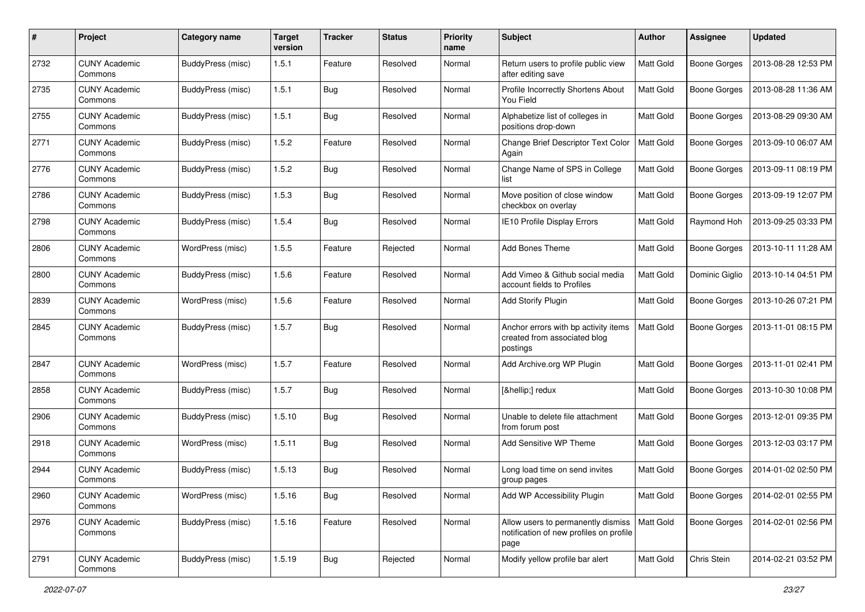| #    | Project                         | Category name            | <b>Target</b><br>version | <b>Tracker</b> | <b>Status</b> | <b>Priority</b><br>name | Subject                                                                               | <b>Author</b>    | Assignee            | <b>Updated</b>      |
|------|---------------------------------|--------------------------|--------------------------|----------------|---------------|-------------------------|---------------------------------------------------------------------------------------|------------------|---------------------|---------------------|
| 2732 | <b>CUNY Academic</b><br>Commons | BuddyPress (misc)        | 1.5.1                    | Feature        | Resolved      | Normal                  | Return users to profile public view<br>after editing save                             | Matt Gold        | <b>Boone Gorges</b> | 2013-08-28 12:53 PM |
| 2735 | <b>CUNY Academic</b><br>Commons | BuddyPress (misc)        | 1.5.1                    | <b>Bug</b>     | Resolved      | Normal                  | Profile Incorrectly Shortens About<br>You Field                                       | Matt Gold        | <b>Boone Gorges</b> | 2013-08-28 11:36 AM |
| 2755 | CUNY Academic<br>Commons        | BuddyPress (misc)        | 1.5.1                    | <b>Bug</b>     | Resolved      | Normal                  | Alphabetize list of colleges in<br>positions drop-down                                | Matt Gold        | <b>Boone Gorges</b> | 2013-08-29 09:30 AM |
| 2771 | <b>CUNY Academic</b><br>Commons | BuddyPress (misc)        | 1.5.2                    | Feature        | Resolved      | Normal                  | Change Brief Descriptor Text Color<br>Again                                           | <b>Matt Gold</b> | <b>Boone Gorges</b> | 2013-09-10 06:07 AM |
| 2776 | <b>CUNY Academic</b><br>Commons | BuddyPress (misc)        | 1.5.2                    | Bug            | Resolved      | Normal                  | Change Name of SPS in College<br>list                                                 | <b>Matt Gold</b> | <b>Boone Gorges</b> | 2013-09-11 08:19 PM |
| 2786 | <b>CUNY Academic</b><br>Commons | BuddyPress (misc)        | 1.5.3                    | Bug            | Resolved      | Normal                  | Move position of close window<br>checkbox on overlay                                  | Matt Gold        | <b>Boone Gorges</b> | 2013-09-19 12:07 PM |
| 2798 | <b>CUNY Academic</b><br>Commons | BuddyPress (misc)        | 1.5.4                    | <b>Bug</b>     | Resolved      | Normal                  | IE10 Profile Display Errors                                                           | Matt Gold        | Raymond Hoh         | 2013-09-25 03:33 PM |
| 2806 | <b>CUNY Academic</b><br>Commons | WordPress (misc)         | 1.5.5                    | Feature        | Rejected      | Normal                  | Add Bones Theme                                                                       | Matt Gold        | <b>Boone Gorges</b> | 2013-10-11 11:28 AM |
| 2800 | <b>CUNY Academic</b><br>Commons | BuddyPress (misc)        | 1.5.6                    | Feature        | Resolved      | Normal                  | Add Vimeo & Github social media<br>account fields to Profiles                         | Matt Gold        | Dominic Giglio      | 2013-10-14 04:51 PM |
| 2839 | <b>CUNY Academic</b><br>Commons | WordPress (misc)         | 1.5.6                    | Feature        | Resolved      | Normal                  | <b>Add Storify Plugin</b>                                                             | Matt Gold        | <b>Boone Gorges</b> | 2013-10-26 07:21 PM |
| 2845 | <b>CUNY Academic</b><br>Commons | <b>BuddyPress</b> (misc) | 1.5.7                    | <b>Bug</b>     | Resolved      | Normal                  | Anchor errors with bp activity items<br>created from associated blog<br>postings      | <b>Matt Gold</b> | <b>Boone Gorges</b> | 2013-11-01 08:15 PM |
| 2847 | <b>CUNY Academic</b><br>Commons | WordPress (misc)         | 1.5.7                    | Feature        | Resolved      | Normal                  | Add Archive.org WP Plugin                                                             | Matt Gold        | <b>Boone Gorges</b> | 2013-11-01 02:41 PM |
| 2858 | <b>CUNY Academic</b><br>Commons | <b>BuddyPress</b> (misc) | 1.5.7                    | <b>Bug</b>     | Resolved      | Normal                  | […] redux                                                                             | <b>Matt Gold</b> | <b>Boone Gorges</b> | 2013-10-30 10:08 PM |
| 2906 | <b>CUNY Academic</b><br>Commons | BuddyPress (misc)        | 1.5.10                   | <b>Bug</b>     | Resolved      | Normal                  | Unable to delete file attachment<br>from forum post                                   | <b>Matt Gold</b> | <b>Boone Gorges</b> | 2013-12-01 09:35 PM |
| 2918 | <b>CUNY Academic</b><br>Commons | WordPress (misc)         | 1.5.11                   | <b>Bug</b>     | Resolved      | Normal                  | Add Sensitive WP Theme                                                                | Matt Gold        | <b>Boone Gorges</b> | 2013-12-03 03:17 PM |
| 2944 | <b>CUNY Academic</b><br>Commons | BuddyPress (misc)        | 1.5.13                   | Bug            | Resolved      | Normal                  | Long load time on send invites<br>group pages                                         | <b>Matt Gold</b> | <b>Boone Gorges</b> | 2014-01-02 02:50 PM |
| 2960 | <b>CUNY Academic</b><br>Commons | WordPress (misc)         | 1.5.16                   | <b>Bug</b>     | Resolved      | Normal                  | Add WP Accessibility Plugin                                                           | Matt Gold        | <b>Boone Gorges</b> | 2014-02-01 02:55 PM |
| 2976 | <b>CUNY Academic</b><br>Commons | BuddyPress (misc)        | 1.5.16                   | Feature        | Resolved      | Normal                  | Allow users to permanently dismiss<br>notification of new profiles on profile<br>page | Matt Gold        | <b>Boone Gorges</b> | 2014-02-01 02:56 PM |
| 2791 | <b>CUNY Academic</b><br>Commons | BuddyPress (misc)        | 1.5.19                   | <b>Bug</b>     | Rejected      | Normal                  | Modify yellow profile bar alert                                                       | Matt Gold        | Chris Stein         | 2014-02-21 03:52 PM |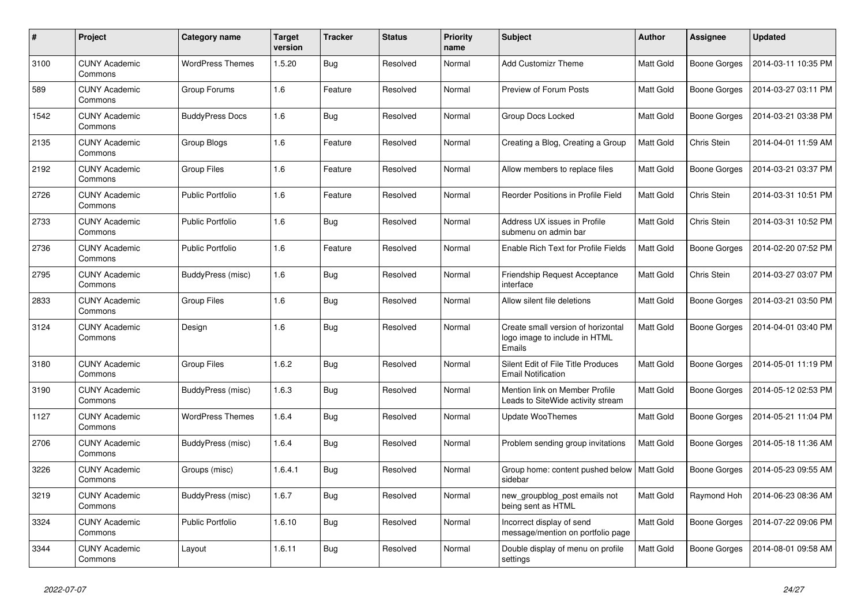| #    | Project                         | Category name           | <b>Target</b><br>version | <b>Tracker</b> | <b>Status</b> | <b>Priority</b><br>name | <b>Subject</b>                                                                | <b>Author</b>    | Assignee            | Updated             |
|------|---------------------------------|-------------------------|--------------------------|----------------|---------------|-------------------------|-------------------------------------------------------------------------------|------------------|---------------------|---------------------|
| 3100 | <b>CUNY Academic</b><br>Commons | <b>WordPress Themes</b> | 1.5.20                   | Bug            | Resolved      | Normal                  | <b>Add Customizr Theme</b>                                                    | <b>Matt Gold</b> | Boone Gorges        | 2014-03-11 10:35 PM |
| 589  | <b>CUNY Academic</b><br>Commons | Group Forums            | 1.6                      | Feature        | Resolved      | Normal                  | Preview of Forum Posts                                                        | <b>Matt Gold</b> | Boone Gorges        | 2014-03-27 03:11 PM |
| 1542 | <b>CUNY Academic</b><br>Commons | <b>BuddyPress Docs</b>  | 1.6                      | Bug            | Resolved      | Normal                  | <b>Group Docs Locked</b>                                                      | Matt Gold        | Boone Gorges        | 2014-03-21 03:38 PM |
| 2135 | <b>CUNY Academic</b><br>Commons | Group Blogs             | 1.6                      | Feature        | Resolved      | Normal                  | Creating a Blog, Creating a Group                                             | <b>Matt Gold</b> | Chris Stein         | 2014-04-01 11:59 AM |
| 2192 | <b>CUNY Academic</b><br>Commons | Group Files             | 1.6                      | Feature        | Resolved      | Normal                  | Allow members to replace files                                                | Matt Gold        | Boone Gorges        | 2014-03-21 03:37 PM |
| 2726 | <b>CUNY Academic</b><br>Commons | <b>Public Portfolio</b> | 1.6                      | Feature        | Resolved      | Normal                  | Reorder Positions in Profile Field                                            | Matt Gold        | Chris Stein         | 2014-03-31 10:51 PM |
| 2733 | <b>CUNY Academic</b><br>Commons | <b>Public Portfolio</b> | 1.6                      | Bug            | Resolved      | Normal                  | Address UX issues in Profile<br>submenu on admin bar                          | Matt Gold        | Chris Stein         | 2014-03-31 10:52 PM |
| 2736 | <b>CUNY Academic</b><br>Commons | <b>Public Portfolio</b> | 1.6                      | Feature        | Resolved      | Normal                  | Enable Rich Text for Profile Fields                                           | Matt Gold        | Boone Gorges        | 2014-02-20 07:52 PM |
| 2795 | <b>CUNY Academic</b><br>Commons | BuddyPress (misc)       | 1.6                      | Bug            | Resolved      | Normal                  | <b>Friendship Request Acceptance</b><br>interface                             | Matt Gold        | Chris Stein         | 2014-03-27 03:07 PM |
| 2833 | <b>CUNY Academic</b><br>Commons | Group Files             | 1.6                      | <b>Bug</b>     | Resolved      | Normal                  | Allow silent file deletions                                                   | Matt Gold        | Boone Gorges        | 2014-03-21 03:50 PM |
| 3124 | <b>CUNY Academic</b><br>Commons | Design                  | 1.6                      | Bug            | Resolved      | Normal                  | Create small version of horizontal<br>logo image to include in HTML<br>Emails | Matt Gold        | Boone Gorges        | 2014-04-01 03:40 PM |
| 3180 | <b>CUNY Academic</b><br>Commons | Group Files             | 1.6.2                    | Bug            | Resolved      | Normal                  | Silent Edit of File Title Produces<br><b>Email Notification</b>               | <b>Matt Gold</b> | Boone Gorges        | 2014-05-01 11:19 PM |
| 3190 | <b>CUNY Academic</b><br>Commons | BuddyPress (misc)       | 1.6.3                    | Bug            | Resolved      | Normal                  | Mention link on Member Profile<br>Leads to SiteWide activity stream           | Matt Gold        | Boone Gorges        | 2014-05-12 02:53 PM |
| 1127 | <b>CUNY Academic</b><br>Commons | <b>WordPress Themes</b> | 1.6.4                    | Bug            | Resolved      | Normal                  | Update WooThemes                                                              | Matt Gold        | Boone Gorges        | 2014-05-21 11:04 PM |
| 2706 | <b>CUNY Academic</b><br>Commons | BuddyPress (misc)       | 1.6.4                    | Bug            | Resolved      | Normal                  | Problem sending group invitations                                             | <b>Matt Gold</b> | <b>Boone Gorges</b> | 2014-05-18 11:36 AM |
| 3226 | <b>CUNY Academic</b><br>Commons | Groups (misc)           | 1.6.4.1                  | Bug            | Resolved      | Normal                  | Group home: content pushed below<br>sidebar                                   | <b>Matt Gold</b> | Boone Gorges        | 2014-05-23 09:55 AM |
| 3219 | <b>CUNY Academic</b><br>Commons | BuddyPress (misc)       | 1.6.7                    | <b>Bug</b>     | Resolved      | Normal                  | new groupblog post emails not<br>being sent as HTML                           | Matt Gold        | Raymond Hoh         | 2014-06-23 08:36 AM |
| 3324 | <b>CUNY Academic</b><br>Commons | <b>Public Portfolio</b> | 1.6.10                   | <b>Bug</b>     | Resolved      | Normal                  | Incorrect display of send<br>message/mention on portfolio page                | <b>Matt Gold</b> | <b>Boone Gorges</b> | 2014-07-22 09:06 PM |
| 3344 | <b>CUNY Academic</b><br>Commons | Layout                  | 1.6.11                   | Bug            | Resolved      | Normal                  | Double display of menu on profile<br>settings                                 | Matt Gold        | Boone Gorges        | 2014-08-01 09:58 AM |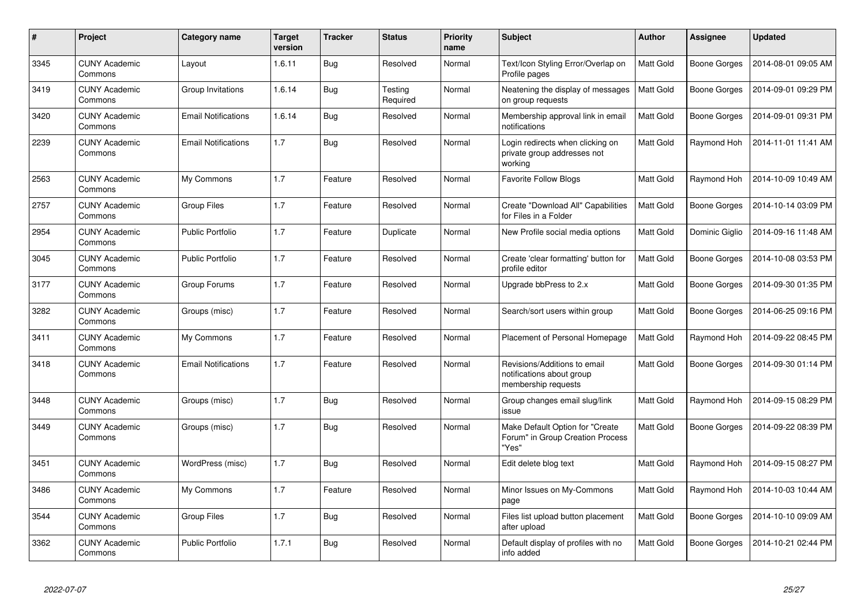| #    | Project                         | Category name              | <b>Target</b><br>version | <b>Tracker</b> | <b>Status</b>       | <b>Priority</b><br>name | <b>Subject</b>                                                                   | <b>Author</b>    | Assignee            | <b>Updated</b>      |
|------|---------------------------------|----------------------------|--------------------------|----------------|---------------------|-------------------------|----------------------------------------------------------------------------------|------------------|---------------------|---------------------|
| 3345 | <b>CUNY Academic</b><br>Commons | Layout                     | 1.6.11                   | <b>Bug</b>     | Resolved            | Normal                  | Text/Icon Styling Error/Overlap on<br>Profile pages                              | <b>Matt Gold</b> | Boone Gorges        | 2014-08-01 09:05 AM |
| 3419 | <b>CUNY Academic</b><br>Commons | Group Invitations          | 1.6.14                   | <b>Bug</b>     | Testing<br>Required | Normal                  | Neatening the display of messages<br>on group requests                           | Matt Gold        | <b>Boone Gorges</b> | 2014-09-01 09:29 PM |
| 3420 | <b>CUNY Academic</b><br>Commons | <b>Email Notifications</b> | 1.6.14                   | <b>Bug</b>     | Resolved            | Normal                  | Membership approval link in email<br>notifications                               | <b>Matt Gold</b> | Boone Gorges        | 2014-09-01 09:31 PM |
| 2239 | <b>CUNY Academic</b><br>Commons | <b>Email Notifications</b> | 1.7                      | <b>Bug</b>     | Resolved            | Normal                  | Login redirects when clicking on<br>private group addresses not<br>working       | <b>Matt Gold</b> | Raymond Hoh         | 2014-11-01 11:41 AM |
| 2563 | <b>CUNY Academic</b><br>Commons | My Commons                 | 1.7                      | Feature        | Resolved            | Normal                  | <b>Favorite Follow Blogs</b>                                                     | Matt Gold        | Raymond Hoh         | 2014-10-09 10:49 AM |
| 2757 | <b>CUNY Academic</b><br>Commons | <b>Group Files</b>         | 1.7                      | Feature        | Resolved            | Normal                  | Create "Download All" Capabilities<br>for Files in a Folder                      | Matt Gold        | Boone Gorges        | 2014-10-14 03:09 PM |
| 2954 | <b>CUNY Academic</b><br>Commons | <b>Public Portfolio</b>    | 1.7                      | Feature        | Duplicate           | Normal                  | New Profile social media options                                                 | Matt Gold        | Dominic Giglio      | 2014-09-16 11:48 AM |
| 3045 | <b>CUNY Academic</b><br>Commons | <b>Public Portfolio</b>    | 1.7                      | Feature        | Resolved            | Normal                  | Create 'clear formatting' button for<br>profile editor                           | <b>Matt Gold</b> | Boone Gorges        | 2014-10-08 03:53 PM |
| 3177 | <b>CUNY Academic</b><br>Commons | Group Forums               | 1.7                      | Feature        | Resolved            | Normal                  | Upgrade bbPress to 2.x                                                           | Matt Gold        | Boone Gorges        | 2014-09-30 01:35 PM |
| 3282 | <b>CUNY Academic</b><br>Commons | Groups (misc)              | 1.7                      | Feature        | Resolved            | Normal                  | Search/sort users within group                                                   | Matt Gold        | Boone Gorges        | 2014-06-25 09:16 PM |
| 3411 | <b>CUNY Academic</b><br>Commons | My Commons                 | 1.7                      | Feature        | Resolved            | Normal                  | Placement of Personal Homepage                                                   | Matt Gold        | Raymond Hoh         | 2014-09-22 08:45 PM |
| 3418 | <b>CUNY Academic</b><br>Commons | <b>Email Notifications</b> | 1.7                      | Feature        | Resolved            | Normal                  | Revisions/Additions to email<br>notifications about group<br>membership requests | Matt Gold        | Boone Gorges        | 2014-09-30 01:14 PM |
| 3448 | <b>CUNY Academic</b><br>Commons | Groups (misc)              | 1.7                      | <b>Bug</b>     | Resolved            | Normal                  | Group changes email slug/link<br>issue                                           | <b>Matt Gold</b> | Raymond Hoh         | 2014-09-15 08:29 PM |
| 3449 | <b>CUNY Academic</b><br>Commons | Groups (misc)              | 1.7                      | <b>Bug</b>     | Resolved            | Normal                  | Make Default Option for "Create<br>Forum" in Group Creation Process<br>"Yes"     | Matt Gold        | Boone Gorges        | 2014-09-22 08:39 PM |
| 3451 | <b>CUNY Academic</b><br>Commons | WordPress (misc)           | 1.7                      | Bug            | Resolved            | Normal                  | Edit delete blog text                                                            | Matt Gold        | Raymond Hoh         | 2014-09-15 08:27 PM |
| 3486 | <b>CUNY Academic</b><br>Commons | My Commons                 | 1.7                      | Feature        | Resolved            | Normal                  | Minor Issues on My-Commons<br>page                                               | Matt Gold        | Raymond Hoh         | 2014-10-03 10:44 AM |
| 3544 | <b>CUNY Academic</b><br>Commons | <b>Group Files</b>         | 1.7                      | Bug            | Resolved            | Normal                  | Files list upload button placement<br>after upload                               | Matt Gold        | Boone Gorges        | 2014-10-10 09:09 AM |
| 3362 | <b>CUNY Academic</b><br>Commons | <b>Public Portfolio</b>    | 1.7.1                    | <b>Bug</b>     | Resolved            | Normal                  | Default display of profiles with no<br>info added                                | <b>Matt Gold</b> | Boone Gorges        | 2014-10-21 02:44 PM |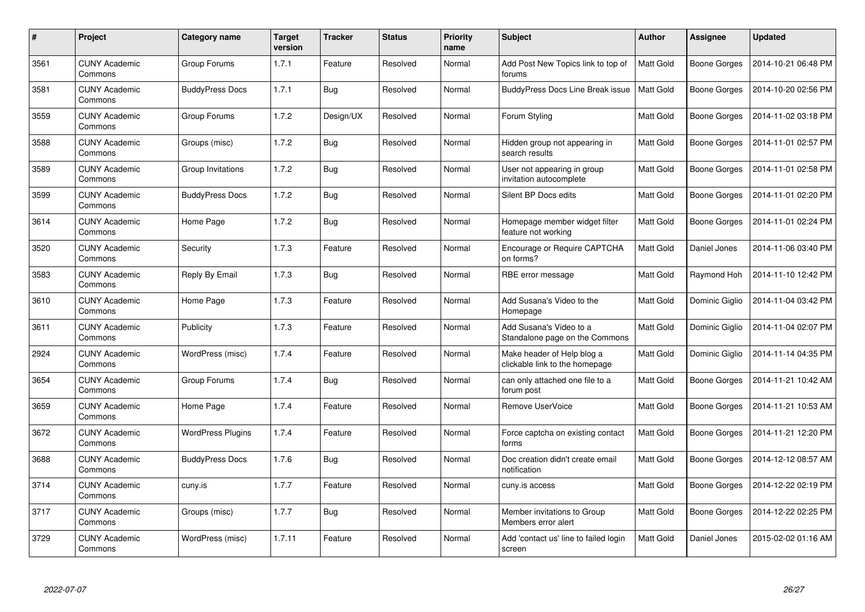| #    | Project                         | Category name            | <b>Target</b><br>version | <b>Tracker</b> | <b>Status</b> | <b>Priority</b><br>name | <b>Subject</b>                                               | <b>Author</b>    | Assignee       | <b>Updated</b>      |
|------|---------------------------------|--------------------------|--------------------------|----------------|---------------|-------------------------|--------------------------------------------------------------|------------------|----------------|---------------------|
| 3561 | <b>CUNY Academic</b><br>Commons | Group Forums             | 1.7.1                    | Feature        | Resolved      | Normal                  | Add Post New Topics link to top of<br>forums                 | <b>Matt Gold</b> | Boone Gorges   | 2014-10-21 06:48 PM |
| 3581 | <b>CUNY Academic</b><br>Commons | <b>BuddyPress Docs</b>   | 1.7.1                    | <b>Bug</b>     | Resolved      | Normal                  | <b>BuddyPress Docs Line Break issue</b>                      | <b>Matt Gold</b> | Boone Gorges   | 2014-10-20 02:56 PM |
| 3559 | <b>CUNY Academic</b><br>Commons | Group Forums             | 1.7.2                    | Design/UX      | Resolved      | Normal                  | Forum Styling                                                | <b>Matt Gold</b> | Boone Gorges   | 2014-11-02 03:18 PM |
| 3588 | <b>CUNY Academic</b><br>Commons | Groups (misc)            | 1.7.2                    | <b>Bug</b>     | Resolved      | Normal                  | Hidden group not appearing in<br>search results              | <b>Matt Gold</b> | Boone Gorges   | 2014-11-01 02:57 PM |
| 3589 | <b>CUNY Academic</b><br>Commons | Group Invitations        | 1.7.2                    | <b>Bug</b>     | Resolved      | Normal                  | User not appearing in group<br>invitation autocomplete       | <b>Matt Gold</b> | Boone Gorges   | 2014-11-01 02:58 PM |
| 3599 | <b>CUNY Academic</b><br>Commons | <b>BuddyPress Docs</b>   | 1.7.2                    | <b>Bug</b>     | Resolved      | Normal                  | Silent BP Docs edits                                         | <b>Matt Gold</b> | Boone Gorges   | 2014-11-01 02:20 PM |
| 3614 | <b>CUNY Academic</b><br>Commons | Home Page                | 1.7.2                    | <b>Bug</b>     | Resolved      | Normal                  | Homepage member widget filter<br>feature not working         | Matt Gold        | Boone Gorges   | 2014-11-01 02:24 PM |
| 3520 | <b>CUNY Academic</b><br>Commons | Security                 | 1.7.3                    | Feature        | Resolved      | Normal                  | Encourage or Require CAPTCHA<br>on forms?                    | Matt Gold        | Daniel Jones   | 2014-11-06 03:40 PM |
| 3583 | <b>CUNY Academic</b><br>Commons | Reply By Email           | 1.7.3                    | <b>Bug</b>     | Resolved      | Normal                  | RBE error message                                            | Matt Gold        | Raymond Hoh    | 2014-11-10 12:42 PM |
| 3610 | <b>CUNY Academic</b><br>Commons | Home Page                | 1.7.3                    | Feature        | Resolved      | Normal                  | Add Susana's Video to the<br>Homepage                        | Matt Gold        | Dominic Giglio | 2014-11-04 03:42 PM |
| 3611 | <b>CUNY Academic</b><br>Commons | Publicity                | 1.7.3                    | Feature        | Resolved      | Normal                  | Add Susana's Video to a<br>Standalone page on the Commons    | Matt Gold        | Dominic Giglio | 2014-11-04 02:07 PM |
| 2924 | <b>CUNY Academic</b><br>Commons | WordPress (misc)         | 1.7.4                    | Feature        | Resolved      | Normal                  | Make header of Help blog a<br>clickable link to the homepage | Matt Gold        | Dominic Giglio | 2014-11-14 04:35 PM |
| 3654 | <b>CUNY Academic</b><br>Commons | Group Forums             | 1.7.4                    | <b>Bug</b>     | Resolved      | Normal                  | can only attached one file to a<br>forum post                | Matt Gold        | Boone Gorges   | 2014-11-21 10:42 AM |
| 3659 | <b>CUNY Academic</b><br>Commons | Home Page                | 1.7.4                    | Feature        | Resolved      | Normal                  | Remove UserVoice                                             | Matt Gold        | Boone Gorges   | 2014-11-21 10:53 AM |
| 3672 | <b>CUNY Academic</b><br>Commons | <b>WordPress Plugins</b> | 1.7.4                    | Feature        | Resolved      | Normal                  | Force captcha on existing contact<br>forms                   | Matt Gold        | Boone Gorges   | 2014-11-21 12:20 PM |
| 3688 | <b>CUNY Academic</b><br>Commons | <b>BuddyPress Docs</b>   | 1.7.6                    | <b>Bug</b>     | Resolved      | Normal                  | Doc creation didn't create email<br>notification             | <b>Matt Gold</b> | Boone Gorges   | 2014-12-12 08:57 AM |
| 3714 | <b>CUNY Academic</b><br>Commons | cuny.is                  | 1.7.7                    | Feature        | Resolved      | Normal                  | cuny is access                                               | Matt Gold        | Boone Gorges   | 2014-12-22 02:19 PM |
| 3717 | <b>CUNY Academic</b><br>Commons | Groups (misc)            | 1.7.7                    | <b>Bug</b>     | Resolved      | Normal                  | Member invitations to Group<br>Members error alert           | Matt Gold        | Boone Gorges   | 2014-12-22 02:25 PM |
| 3729 | <b>CUNY Academic</b><br>Commons | WordPress (misc)         | 1.7.11                   | Feature        | Resolved      | Normal                  | Add 'contact us' line to failed login<br>screen              | Matt Gold        | Daniel Jones   | 2015-02-02 01:16 AM |